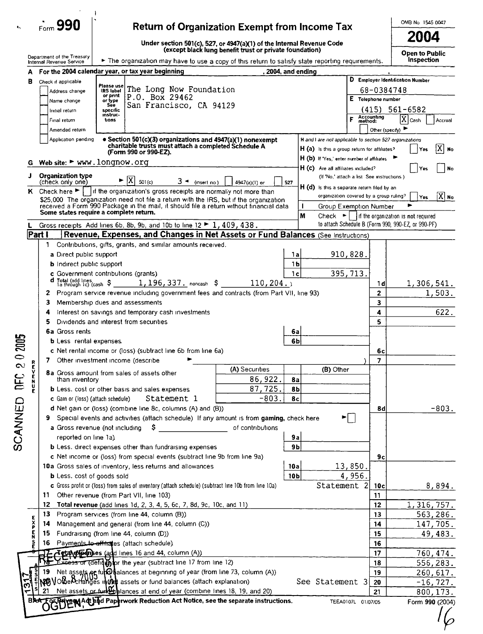|                |               | $\sim$ 990                                      | <b>Return of Organization Exempt from Income Tax</b>                                                                                                                           |                                                         |                 |                                                         |                    |                       | OMB No 1545 0047                                                                                                          |                          |
|----------------|---------------|-------------------------------------------------|--------------------------------------------------------------------------------------------------------------------------------------------------------------------------------|---------------------------------------------------------|-----------------|---------------------------------------------------------|--------------------|-----------------------|---------------------------------------------------------------------------------------------------------------------------|--------------------------|
|                |               |                                                 | Under section 501(c), 527, or 4947(a)(1) of the Internal Revenue Code                                                                                                          |                                                         |                 |                                                         |                    |                       | 2004                                                                                                                      |                          |
|                |               | Department of the Treasury                      |                                                                                                                                                                                | (except black lung benefit trust or private foundation) |                 |                                                         |                    |                       | <b>Open to Public</b>                                                                                                     |                          |
|                |               | Internal Revenue Service                        | The organization may have to use a copy of this return to satisfy state reporting requirements.                                                                                |                                                         |                 |                                                         |                    |                       | <b>Inspection</b>                                                                                                         |                          |
|                | А             |                                                 | For the 2004 calendar year, or tax year beginning                                                                                                                              | . 2004, and ending                                      |                 |                                                         |                    |                       |                                                                                                                           |                          |
|                | в.            | Check if applicable                             | Please use<br>The Long Now Foundation                                                                                                                                          |                                                         |                 |                                                         |                    |                       | D Employer Identification Number                                                                                          |                          |
|                |               | Address change                                  | IRS label<br>or print<br>P.O. Box 29462                                                                                                                                        |                                                         |                 |                                                         | E Telephone number | 68-0384748            |                                                                                                                           |                          |
|                |               | Name change                                     | or type<br>San Francisco, CA 94129<br>See                                                                                                                                      |                                                         |                 |                                                         |                    |                       | $(415) 561 - 6582$                                                                                                        |                          |
|                |               | Initial return                                  | specific<br>ınstruc-<br>tions                                                                                                                                                  |                                                         |                 |                                                         | F                  | Accounting<br>method: | ΙX                                                                                                                        |                          |
|                |               | Final return<br>Amended return                  |                                                                                                                                                                                |                                                         |                 |                                                         |                    | Other (specify)       | Cash                                                                                                                      | Accrual                  |
|                |               | Application pending                             | • Section 501(c)(3) organizations and 4947(a)(1) nonexempt                                                                                                                     |                                                         |                 | H and I are not applicable to section 527 organizations |                    |                       |                                                                                                                           |                          |
|                |               |                                                 | charitable trusts must attach a completed Schedule A                                                                                                                           |                                                         |                 | H (a) is this a group return for affiliates?            |                    |                       | Yes                                                                                                                       | XI<br>No                 |
|                |               | Web site: $\blacktriangleright$ www.longnow.org | (Form 990 or 990-EZ).                                                                                                                                                          |                                                         |                 | H (b) If 'Yes,' enter number of affiliates              |                    |                       |                                                                                                                           |                          |
|                | G             |                                                 |                                                                                                                                                                                |                                                         |                 | $H(c)$ Are all affiliates included?                     |                    |                       | Yes                                                                                                                       | No                       |
|                | J             | <b>Organization type</b><br>(check only one)    | $\overline{\mathbf{X}}$<br>$3 -$ (insert no)<br>501(c)                                                                                                                         | 4947(a)(1) or                                           | 527             | (If 'No,' attach a list See instructions)               |                    |                       |                                                                                                                           |                          |
|                |               |                                                 | K Check here $\blacktriangleright$   if the organization's gross receipts are normally not more than                                                                           |                                                         |                 | $H(d)$ is this a separate return filed by an            |                    |                       |                                                                                                                           |                          |
|                |               |                                                 | \$25,000. The organization need not file a return with the IRS, but if the organization                                                                                        |                                                         |                 | organization covered by a group ruling?                 |                    |                       | Yes                                                                                                                       | $ X $ No                 |
|                |               |                                                 | received a Form 990 Package in the mail, it should file a return without financial data<br>Some states require a complete return.                                              |                                                         |                 | Group Exemption Number                                  |                    |                       | ▶                                                                                                                         |                          |
|                |               |                                                 |                                                                                                                                                                                |                                                         | M               |                                                         |                    |                       | Check $\blacktriangleright$     if the organization is not required<br>to attach Schedule B (Form 990, 990-EZ, or 990-PF) |                          |
|                |               | Part I                                          | Gross receipts Add lines 6b, 8b, 9b, and 10b to line 12 $\blacktriangleright$ 1, 409, 438.<br>Revenue, Expenses, and Changes in Net Assets or Fund Balances (See Instructions) |                                                         |                 |                                                         |                    |                       |                                                                                                                           |                          |
|                |               | 1                                               | Contributions, gifts, grants, and similar amounts received.                                                                                                                    |                                                         |                 |                                                         |                    |                       |                                                                                                                           |                          |
|                |               | a Direct public support                         |                                                                                                                                                                                |                                                         | 1a              |                                                         | 910,828.           |                       |                                                                                                                           |                          |
|                |               | <b>b</b> Indirect public support                |                                                                                                                                                                                |                                                         | 1 <sub>b</sub>  |                                                         |                    |                       |                                                                                                                           |                          |
|                |               |                                                 | c Government contributions (grants)                                                                                                                                            |                                                         | 1 <sub>c</sub>  |                                                         | 395,713.           |                       |                                                                                                                           |                          |
|                |               | d Total (add lines<br>ia through ic) (cash \$   | $1, 196, 337.$ noncash \$                                                                                                                                                      | 110, 204.                                               |                 |                                                         |                    | 1 d                   | 1,306,541.                                                                                                                |                          |
|                |               | 2                                               | Program service revenue including government fees and contracts (from Part VII, line 93)                                                                                       |                                                         |                 |                                                         |                    | $\overline{2}$        |                                                                                                                           | 1,503.                   |
|                |               | з                                               | Membership dues and assessments                                                                                                                                                |                                                         |                 |                                                         |                    | 3                     |                                                                                                                           |                          |
|                |               | 4                                               | Interest on savings and temporary cash investments                                                                                                                             |                                                         |                 |                                                         |                    | 4                     |                                                                                                                           | 622.                     |
|                |               | 5                                               | Dividends and interest from securities                                                                                                                                         |                                                         |                 |                                                         |                    | 5                     |                                                                                                                           |                          |
|                |               | 6a Gross rents                                  |                                                                                                                                                                                |                                                         | 6a<br>6b        |                                                         |                    |                       |                                                                                                                           |                          |
| 0 2005         |               | <b>b</b> Less rental expenses                   | c Net rental income or (loss) (subtract line 6b from line 6a)                                                                                                                  |                                                         |                 |                                                         |                    | бc                    |                                                                                                                           |                          |
|                |               |                                                 | 7 Other investment income (describe                                                                                                                                            |                                                         |                 |                                                         |                    | 7                     |                                                                                                                           |                          |
| $\infty$       | R<br>E        |                                                 |                                                                                                                                                                                | (A) Securities                                          |                 | (B) Other                                               |                    |                       |                                                                                                                           |                          |
| DEC            | <b>RCZRY</b>  | than inventory                                  | <b>8a</b> Gross amount from sales of assets other                                                                                                                              | 86,922.                                                 | 8а              |                                                         |                    |                       |                                                                                                                           |                          |
|                |               |                                                 | <b>b</b> Less, cost or other basis and sales expenses                                                                                                                          | 87,725.                                                 | 8Ь              |                                                         |                    |                       |                                                                                                                           |                          |
|                |               | c Gain or (loss) (attach schedule)              | Statement 1                                                                                                                                                                    | $-803.$                                                 | 8c              |                                                         |                    |                       |                                                                                                                           |                          |
|                |               |                                                 | d Net gain or (loss) (combine line 8c, columns (A) and (B))                                                                                                                    |                                                         |                 |                                                         |                    | 8d                    |                                                                                                                           | $-803.$                  |
| <b>SCANNED</b> |               | 9.                                              | Special events and activities (attach schedule) If any amount is from gaming, check here                                                                                       |                                                         |                 |                                                         | E L                |                       |                                                                                                                           |                          |
|                |               |                                                 | a Gross revenue (not including<br>Ş                                                                                                                                            | of contributions                                        |                 |                                                         |                    |                       |                                                                                                                           |                          |
|                |               | reported on line 1a).                           |                                                                                                                                                                                |                                                         | 9a              |                                                         |                    |                       |                                                                                                                           |                          |
|                |               |                                                 | <b>b</b> Less. direct expenses other than fundraising expenses<br>c Net income or (loss) from special events (subtract line 9b from line 9a)                                   |                                                         | 9b              |                                                         |                    | 9с                    |                                                                                                                           |                          |
|                |               |                                                 | 10a Gross sales of inventory, less returns and allowances                                                                                                                      |                                                         | 10a             |                                                         | 13,850.            |                       |                                                                                                                           |                          |
|                |               | <b>b</b> Less. cost of goods sold               |                                                                                                                                                                                |                                                         | 10 <sub>b</sub> |                                                         | 4,956.             |                       |                                                                                                                           |                          |
|                |               |                                                 | c Gross profit or (loss) from sales of inventory (attach schedule) (subtract line 10b from line 10a)                                                                           |                                                         |                 | Statement 2                                             |                    | 10c                   |                                                                                                                           | 8,894.                   |
|                |               |                                                 | 11 Other revenue (from Part VII, line 103)                                                                                                                                     |                                                         |                 |                                                         |                    | 11                    |                                                                                                                           |                          |
|                |               | 12                                              | Total revenue (add lines 1d, 2, 3, 4, 5, 6c, 7, 8d, 9c, 10c, and 11)                                                                                                           |                                                         |                 |                                                         |                    | 12                    | 1,316,757.                                                                                                                |                          |
|                |               | 13 <sub>1</sub>                                 | Program services (from line 44, column (B))                                                                                                                                    |                                                         |                 |                                                         |                    | 13                    |                                                                                                                           | 563,286.                 |
|                | <b>E</b><br>P | 14                                              | Management and general (from line 44, column (C))                                                                                                                              |                                                         |                 |                                                         |                    | 14                    |                                                                                                                           | 147,705.                 |
|                | E<br>N        | 15                                              | Fundraising (from line 44, column (D))                                                                                                                                         |                                                         |                 |                                                         |                    | 15                    |                                                                                                                           | 49,483.                  |
|                | å             | 16                                              | Payments to effit ates (attach schedule)                                                                                                                                       |                                                         |                 |                                                         |                    | 16                    |                                                                                                                           |                          |
|                |               |                                                 | <b>Tetal of Females</b> (add lines 16 and 44, column (A))                                                                                                                      |                                                         |                 |                                                         |                    | 17                    |                                                                                                                           | 760, 474.                |
|                |               | 19.                                             | Excess or (defique the year (subtract line 17 from line 12)                                                                                                                    |                                                         |                 |                                                         |                    | 18<br>19              |                                                                                                                           | 556,283.                 |
|                |               |                                                 | Net assets of furto palances at beginning of year (from line 73, column (A))<br>OldePcHanges in the assets or fund balances (attach explanation)                               |                                                         |                 | See Statement 3                                         |                    | 20                    |                                                                                                                           | 260, 617.<br>$-16, 727.$ |
| 5              |               | 21                                              | Net assets or fund balances at end of year (combine lines 18, 19, and 20)                                                                                                      |                                                         |                 |                                                         |                    | 21                    |                                                                                                                           | 800, 173.                |
|                | <b>BAA</b>    |                                                 | CO Private MAdt had Paperwork Reduction Act Notice, see the separate instructions.                                                                                             |                                                         |                 |                                                         | TEEA0107L 01/07/05 |                       | Form 990 (2004)                                                                                                           |                          |
|                |               |                                                 |                                                                                                                                                                                |                                                         |                 |                                                         |                    |                       |                                                                                                                           |                          |

| c                        |  |
|--------------------------|--|
| )<br>በ                   |  |
| ב<br>גו<br>J<br><u>င</u> |  |

#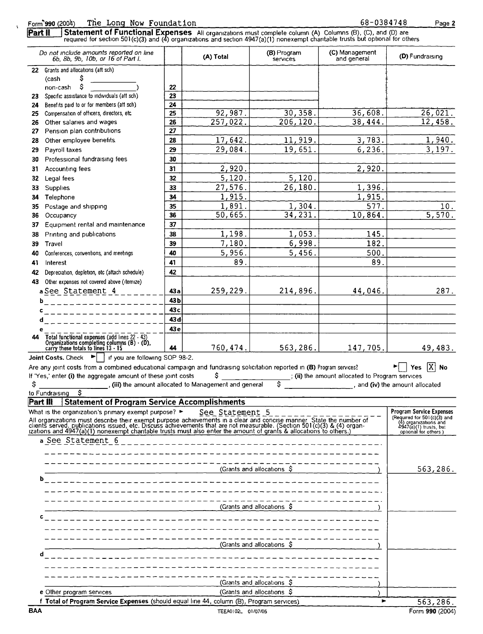#### Form 990 (2004)

 $\overline{\mathbf{r}}$ 

(2004) The Long Now Foundation 68-0384748<br>Statement of Functional Expenses All organizations must complete column (A) Columns (B), (C), and (D) are<br>required for section 501(c)(3) and (4) organizations and section 4947(a)(1 Part II

|            | Do not include amounts reported on line<br>6b, 8b, 9b, 10b, or 16 of Part I.                                                                                                                                                  |                 | (A) Total                                              | (B) Program<br>services    | (C) Management<br>and general                   | (D) Fundraising                                                                                                  |
|------------|-------------------------------------------------------------------------------------------------------------------------------------------------------------------------------------------------------------------------------|-----------------|--------------------------------------------------------|----------------------------|-------------------------------------------------|------------------------------------------------------------------------------------------------------------------|
|            | 22 Grants and allocations (att sch)                                                                                                                                                                                           |                 |                                                        |                            |                                                 |                                                                                                                  |
|            | s<br>(cash                                                                                                                                                                                                                    |                 |                                                        |                            |                                                 |                                                                                                                  |
| 23         | non-cash<br>Specific assistance to individuals (att sch)                                                                                                                                                                      | 22<br>23        |                                                        |                            |                                                 |                                                                                                                  |
| 24         | Benefits paid to or for members (att sch)                                                                                                                                                                                     | 24              |                                                        |                            |                                                 |                                                                                                                  |
| 25         | Compensation of officers, directors, etc.                                                                                                                                                                                     | 25              | 92,987.                                                | $\overline{30, 358}$ .     | 36,608.                                         | 26,021.                                                                                                          |
| 26         | Other salaries and wages                                                                                                                                                                                                      | 26              | $\overline{257,022}$ .                                 | 206, 120.                  | 38,444.                                         | 12,458.                                                                                                          |
| 27         | Pension plan contributions                                                                                                                                                                                                    | 27              |                                                        |                            |                                                 |                                                                                                                  |
| 28         | Other employee benefits.                                                                                                                                                                                                      | 28              | 17,642.                                                | 11,919.                    | 3,783.                                          | 1,940.                                                                                                           |
| 29         | Payroll taxes                                                                                                                                                                                                                 | 29              | 29,084.                                                | 19,651.                    | 6,236.                                          | 3, 197.                                                                                                          |
| 30         | Professional fundraising fees                                                                                                                                                                                                 | 30              |                                                        |                            |                                                 |                                                                                                                  |
| 31         | Accounting fees                                                                                                                                                                                                               | 31              | 2,920.                                                 |                            | 2,920.                                          |                                                                                                                  |
| 32         | Legal fees                                                                                                                                                                                                                    | 32              | 5,120.                                                 | 5, 120.                    |                                                 |                                                                                                                  |
| 33         | <b>Supplies</b>                                                                                                                                                                                                               | 33              | 27,576.                                                | 26,180.                    | 1,396.                                          |                                                                                                                  |
| 34         | Telephone                                                                                                                                                                                                                     | 34              | 1,915.                                                 |                            | 1,915.                                          |                                                                                                                  |
| 35         | Postage and shipping                                                                                                                                                                                                          | 35              | 1,891.                                                 | 1,304.                     | 577.                                            | 10.                                                                                                              |
| 36         | Occupancy                                                                                                                                                                                                                     | 36              | 50,665.                                                | 34, 231.                   | 10,864.                                         | $\overline{5,570}$ .                                                                                             |
| 37         | Equipment rental and maintenance                                                                                                                                                                                              | 37              |                                                        |                            |                                                 |                                                                                                                  |
| 38         | Printing and publications                                                                                                                                                                                                     | 38              | 1,198.                                                 | 1,053.                     | 145.                                            |                                                                                                                  |
| 39         | Travel                                                                                                                                                                                                                        | 39              | 7,180.                                                 | 6,998.<br>5,456.           | 182.                                            |                                                                                                                  |
| 40         | Conferences, conventions, and meetings                                                                                                                                                                                        | 40              | 5,956.                                                 |                            | 500.                                            |                                                                                                                  |
| 41         | Interest                                                                                                                                                                                                                      | 41              | 89.                                                    |                            | 89.                                             |                                                                                                                  |
| 42         | Depreciation, depletion, etc (attach schedule)                                                                                                                                                                                | 42              |                                                        |                            |                                                 |                                                                                                                  |
| 43         | Other expenses not covered above (itemize)                                                                                                                                                                                    |                 |                                                        |                            |                                                 |                                                                                                                  |
|            | aSee Statement 4                                                                                                                                                                                                              | 43 a<br>43b     | 259,229.                                               | 214,896.                   | 44,046.                                         | 287.                                                                                                             |
|            | b<br>------------------                                                                                                                                                                                                       | 43c             |                                                        |                            |                                                 |                                                                                                                  |
| c          |                                                                                                                                                                                                                               | 43 <sub>d</sub> |                                                        |                            |                                                 |                                                                                                                  |
| d<br>е     |                                                                                                                                                                                                                               | 43 <sub>e</sub> |                                                        |                            |                                                 |                                                                                                                  |
| 44         | Total functional expenses (add lines 22 - 43)                                                                                                                                                                                 |                 |                                                        |                            |                                                 |                                                                                                                  |
|            | Organizations completing columns $(B) \cdot (D)$ ,<br>carry these totals to lines $13 \cdot 15$                                                                                                                               | 44              | 760,474.                                               | 563, 286.                  | 147,705.                                        | 49,483.                                                                                                          |
|            | <b>Joint Costs.</b> Check $\blacktriangleright$   if you are following SOP 98-2.                                                                                                                                              |                 |                                                        |                            |                                                 |                                                                                                                  |
|            | Are any joint costs from a combined educational campaign and fundraising solicitation reported in (B) Program services?                                                                                                       |                 |                                                        |                            |                                                 | $ \overline{X} $ No<br>$\blacktriangleright$   Yes                                                               |
|            | If 'Yes,' enter (i) the aggregate amount of these joint costs                                                                                                                                                                 |                 | \$                                                     |                            | ; (ii) the amount allocated to Program services |                                                                                                                  |
| \$         |                                                                                                                                                                                                                               |                 | , (iii) the amount allocated to Management and general |                            | and (iv) the amount allocated                   |                                                                                                                  |
|            | \$<br>to Fundraising                                                                                                                                                                                                          |                 |                                                        |                            |                                                 |                                                                                                                  |
|            | Part III Statement of Program Service Accomplishments                                                                                                                                                                         |                 |                                                        |                            |                                                 |                                                                                                                  |
|            | What is the organization's primary exempt purpose? $\blacktriangleright$                                                                                                                                                      |                 | See Statement 5                                        |                            |                                                 | <b>Program Service Expenses</b>                                                                                  |
|            | All organizations must describe their exempt purpose achievements in a clear and concise manner. State the number of clients served, publications issued, etc. Discuss achievements that are not measurable. (Section 501(c)( |                 |                                                        |                            |                                                 | (Required for $501 \cdot (c)(3)$ and (4) organizations and $4947 \cdot (a)(1)$ trusts, but optional for others ) |
|            |                                                                                                                                                                                                                               |                 |                                                        |                            |                                                 |                                                                                                                  |
|            | a See Statement 6                                                                                                                                                                                                             |                 |                                                        |                            |                                                 |                                                                                                                  |
|            |                                                                                                                                                                                                                               |                 |                                                        |                            |                                                 |                                                                                                                  |
|            |                                                                                                                                                                                                                               |                 |                                                        |                            |                                                 |                                                                                                                  |
|            |                                                                                                                                                                                                                               |                 |                                                        | (Grants and allocations \$ |                                                 | 563,286.                                                                                                         |
|            |                                                                                                                                                                                                                               |                 |                                                        |                            |                                                 |                                                                                                                  |
|            |                                                                                                                                                                                                                               |                 |                                                        |                            |                                                 |                                                                                                                  |
|            |                                                                                                                                                                                                                               |                 |                                                        |                            |                                                 |                                                                                                                  |
|            |                                                                                                                                                                                                                               |                 |                                                        | (Grants and allocations \$ |                                                 |                                                                                                                  |
| с          |                                                                                                                                                                                                                               |                 |                                                        |                            |                                                 |                                                                                                                  |
|            |                                                                                                                                                                                                                               |                 |                                                        |                            |                                                 |                                                                                                                  |
|            |                                                                                                                                                                                                                               |                 |                                                        |                            |                                                 |                                                                                                                  |
|            |                                                                                                                                                                                                                               |                 |                                                        | (Grants and allocations \$ |                                                 |                                                                                                                  |
| d          |                                                                                                                                                                                                                               |                 |                                                        |                            |                                                 |                                                                                                                  |
|            |                                                                                                                                                                                                                               |                 |                                                        |                            |                                                 |                                                                                                                  |
|            |                                                                                                                                                                                                                               |                 |                                                        |                            |                                                 |                                                                                                                  |
|            |                                                                                                                                                                                                                               |                 |                                                        | (Grants and allocations S  |                                                 |                                                                                                                  |
|            |                                                                                                                                                                                                                               |                 |                                                        |                            |                                                 |                                                                                                                  |
|            | e Other program services                                                                                                                                                                                                      |                 |                                                        | (Grants and allocations \$ |                                                 |                                                                                                                  |
| <b>BAA</b> | f Total of Program Service Expenses (should equal line 44, column (B), Program services)                                                                                                                                      |                 | TEEA0102L 01/07/05                                     |                            | ь                                               | 563,286.<br>Form 990 (2004)                                                                                      |

Page 2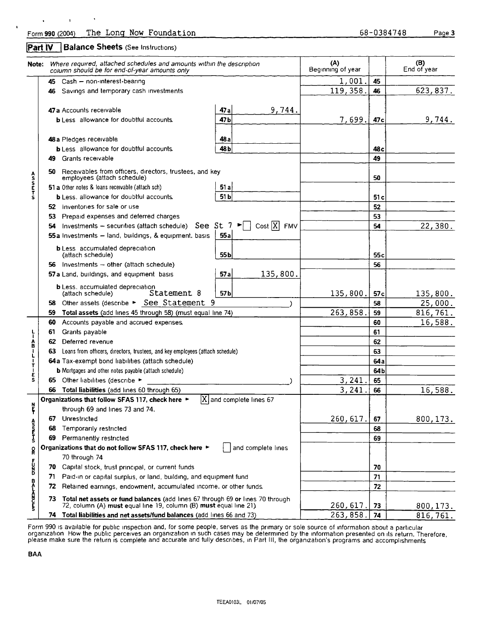#### Part IV **Balance Sheets** (See Instructions)

 $\ddot{\phantom{0}}$ 

 $\mathbf{r}$ 

 $\ddot{\phantom{0}}$ 

 $\mathbf{r}$ 

| Note:            |     | Where required, attached schedules and amounts within the description<br>column should be for end-of-year amounts only                               | (A)<br>Beginning of year |                                                            | (B)<br>End of year |                 |           |
|------------------|-----|------------------------------------------------------------------------------------------------------------------------------------------------------|--------------------------|------------------------------------------------------------|--------------------|-----------------|-----------|
|                  | 45  | Cash - non-interest-bearing                                                                                                                          |                          |                                                            | $1,001$ .          | 45              |           |
|                  | 46  | Savings and temporary cash investments                                                                                                               |                          |                                                            | 119,358.           | 46              | 623,837.  |
|                  |     | 47 a Accounts receivable                                                                                                                             | 47 a                     | 9,744.                                                     |                    |                 |           |
|                  |     | <b>b</b> Less allowance for doubtful accounts                                                                                                        | 47 b                     |                                                            | 7,699.             | 47 <sub>c</sub> | 9,744.    |
|                  |     |                                                                                                                                                      |                          |                                                            |                    |                 |           |
|                  |     | 48 a Pledges receivable                                                                                                                              | 48 a                     |                                                            |                    |                 |           |
|                  |     | <b>b</b> Less allowance for doubtful accounts                                                                                                        | 48 bl                    |                                                            |                    | 48 c            |           |
|                  | 49  | Grants receivable                                                                                                                                    |                          |                                                            |                    | 49              |           |
| <b>ASSETS</b>    | 50  | Receivables from officers, directors, trustees, and key<br>employees (attach schedule)                                                               |                          |                                                            |                    | 50              |           |
|                  |     | 51 a Other notes & loans receivable (attach sch)                                                                                                     | 51 al                    |                                                            |                    |                 |           |
|                  |     | <b>b</b> Less, allowance for doubtful accounts.                                                                                                      | 51 <sub>b</sub>          |                                                            |                    | 51 c            |           |
|                  |     | 52 Inventories for sale or use                                                                                                                       |                          |                                                            |                    | 52              |           |
|                  |     | 53 Prepaid expenses and deferred charges                                                                                                             |                          |                                                            |                    | 53              |           |
|                  | 54  | Investments $-$ securities (attach schedule) See St 7                                                                                                |                          | $Cost  X $<br>$\blacktriangleright$ $\vdash$<br><b>FMV</b> |                    | 54              | 22,380.   |
|                  |     | 55a Investments - land, buildings, & equipment, basis                                                                                                | 55a                      |                                                            |                    |                 |           |
|                  |     | <b>b</b> Less accumulated depreciation<br>(attach schedule)                                                                                          | 55b                      |                                                            |                    | 55с             |           |
|                  | 56. | Investments - other (attach schedule)                                                                                                                |                          |                                                            |                    | 56              |           |
|                  |     | 57 a Land, buildings, and equipment basis                                                                                                            | 57a                      | 135,800.                                                   |                    |                 |           |
|                  |     | <b>b</b> Less, accumulated depreciation<br>Statement 8<br>(attach schedule)                                                                          | 57 <sub>b</sub>          |                                                            | 135,800.           | 57c             | 135,800.  |
|                  | 58. | Other assets (describe > See Statement 9                                                                                                             |                          |                                                            |                    | 58              | 25,000.   |
|                  | 59  | Total assets (add lines 45 through 58) (must equal line 74)                                                                                          |                          |                                                            | 263,858            | 59              | 816,761.  |
|                  | 60  | Accounts payable and accrued expenses.                                                                                                               |                          |                                                            |                    | 60              | 16,588.   |
|                  | 61  | Grants payable                                                                                                                                       |                          |                                                            |                    | 61              |           |
| L- AB - L-       | 62  | Deferred revenue                                                                                                                                     |                          |                                                            |                    | 62              |           |
|                  | 63  | Loans from officers, directors, trustees, and key employees (attach schedule)                                                                        |                          |                                                            |                    | 63              |           |
| τ                |     | 64a Tax-exempt bond liabilities (attach schedule)                                                                                                    |                          |                                                            |                    | 64 a            |           |
|                  |     | <b>b</b> Mortgages and other notes payable (attach schedule)                                                                                         |                          |                                                            |                    | 64b             |           |
| E<br>S           |     | 65 Other liabilities (describe ►                                                                                                                     |                          |                                                            | 3,241              | 65              |           |
|                  | 66  | Total liabilities (add lines 60 through 65)                                                                                                          |                          |                                                            | 3,241              | 66              | 16,588.   |
|                  |     | Organizations that follow SFAS 117, check here ►                                                                                                     |                          | X and complete lines 67                                    |                    |                 |           |
| ŗ                |     | through 69 and lines 73 and 74.                                                                                                                      |                          |                                                            |                    |                 |           |
|                  | 67  | Unrestricted                                                                                                                                         |                          |                                                            | 260, 617.          | 67              | 800, 173. |
| <b>Asser</b>     | 68  | Temporarily restricted                                                                                                                               |                          |                                                            |                    | 68              |           |
|                  | 69  | Permanently restricted                                                                                                                               |                          |                                                            |                    | 69              |           |
| $\mathbf{g}$     |     | Organizations that do not follow SFAS 117, check here ►                                                                                              |                          | and complete lines                                         |                    |                 |           |
|                  |     | 70 through 74                                                                                                                                        |                          |                                                            |                    |                 |           |
| <b>P320</b>      | 70  | Capital stock, trust principal, or current funds                                                                                                     |                          |                                                            |                    | 70              |           |
|                  | 71  | Paid-in or capital surplus, or land, building, and equipment fund                                                                                    |                          |                                                            |                    | 71              |           |
|                  | 72  | Retained earnings, endowment, accumulated income, or other funds.                                                                                    |                          |                                                            |                    | 72              |           |
| <b>SEARCHING</b> | 73  | Total net assets or fund balances (add lines 67 through 69 or lines 70 through<br>72, column (A) must equal line 19, column (B) must equal line 21). |                          |                                                            | 260,617            | 73              | 800, 173. |
|                  | 74  | Total liabilities and net assets/fund balances (add lines 66 and 73)                                                                                 |                          |                                                            | 263,858            | 74              | 816,761.  |

Form 990 is available for public inspection and, for some people, serves as the primary or sole source of information about a particular organization. How the public perceives an organization in such cases may be determined by the information presented on its return. Therefore,<br>please make sure the return is complete and accurate and fully describes, in Par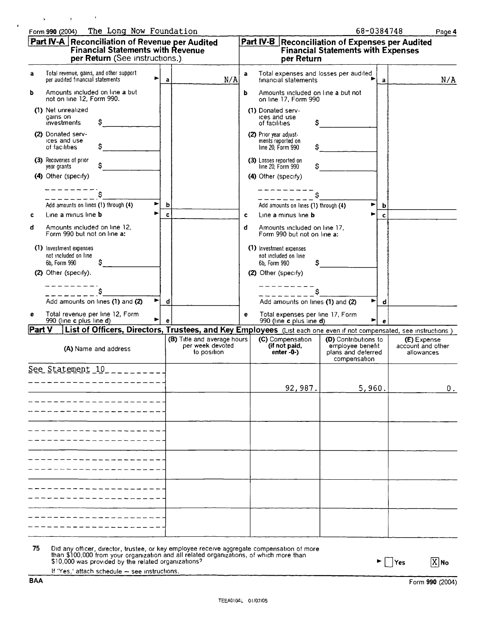|  | Form 990 (2004) The Long Now Foundation | 68-0384748 | Page 4 |
|--|-----------------------------------------|------------|--------|

| ıΩ<br>- 2 | c |  |
|-----------|---|--|
|           |   |  |

| a<br>ь        | Total revenue, gains, and other support                                                                            |   | per Return (See instructions.)                                 |   | per Return                                                            | <b>Financial Statements with Expenses</b>                                      |              |                                                |
|---------------|--------------------------------------------------------------------------------------------------------------------|---|----------------------------------------------------------------|---|-----------------------------------------------------------------------|--------------------------------------------------------------------------------|--------------|------------------------------------------------|
|               | per audited financial statements                                                                                   | ▶ | N/A<br>a                                                       | a | Total expenses and losses per audited<br>financial statements         |                                                                                | $\mathbf{a}$ | N/A                                            |
|               | Amounts included on line a but<br>not on line 12, Form 990.                                                        |   |                                                                | ь | Amounts included on line a but not<br>on line 17, Form 990            |                                                                                |              |                                                |
|               | (1) Net unrealized<br>gains on<br>\$<br>investments                                                                |   |                                                                |   | (1) Donated serv-<br>ices and use<br>S.<br>of facilities.             |                                                                                |              |                                                |
|               | (2) Donated serv-<br>ices and use<br>of facilities                                                                 |   |                                                                |   | (2) Prior year adjust-<br>ments reported on<br>line 20, Form 990      |                                                                                |              |                                                |
|               | (3) Recoveries of prior<br>year grants                                                                             |   |                                                                |   | (3) Losses reported on<br>line 20, Form 990                           |                                                                                |              |                                                |
|               | (4) Other (specify)                                                                                                |   |                                                                |   | (4) Other (specify)                                                   |                                                                                |              |                                                |
|               | Ŝ                                                                                                                  |   |                                                                |   | S                                                                     |                                                                                |              |                                                |
|               | Add amounts on lines (1) through (4)                                                                               |   | b                                                              |   | Add amounts on lines (1) through (4)                                  |                                                                                | b            |                                                |
| c             | Line a minus line <b>b</b>                                                                                         |   | c                                                              | c | Line a minus line <b>b</b>                                            |                                                                                | c            |                                                |
| d             | Amounts included on line 12,<br>Form 990 but not on line a:                                                        |   |                                                                | đ | Amounts included on line 17,<br>Form 990 but not on line a:           |                                                                                |              |                                                |
|               | (1) Investment expenses<br>not included on line<br>s<br>6b. Form 990                                               |   |                                                                |   | (1) Investment expenses<br>not included on line<br>6b, Form 990<br>S. |                                                                                |              |                                                |
|               | (2) Other (specify).                                                                                               |   |                                                                |   | (2) Other (specify)                                                   |                                                                                |              |                                                |
|               |                                                                                                                    |   |                                                                |   |                                                                       |                                                                                |              |                                                |
|               | Add amounts on lines (1) and (2)                                                                                   | ► | d                                                              |   | Add amounts on lines (1) and (2)                                      |                                                                                | d            |                                                |
| е             | Total revenue per line 12, Form<br>990 (line c plus line d)                                                        | ► | e                                                              | е | Total expenses per line 17, Form<br>990 (line c plus line d)          | ►                                                                              | е            |                                                |
| <b>Part V</b> | List of Officers, Directors, Trustees, and Key Employees (List each one even if not compensated, see instructions) |   |                                                                |   |                                                                       |                                                                                |              |                                                |
|               | (A) Name and address                                                                                               |   | (B) Title and average hours<br>per week devoted<br>to position |   | (C) Compensation<br>(if not paid,<br>enter $-0$ - $)$                 | (D) Contributions to<br>employee benefit<br>plans and deferred<br>compensation |              | (E) Expense<br>account and other<br>allowances |
|               | See Statement 10<br>---------                                                                                      |   |                                                                |   |                                                                       |                                                                                |              |                                                |
|               |                                                                                                                    |   |                                                                |   | 92,987.                                                               | 5,960.                                                                         |              | $0_{\cdot}$                                    |
|               |                                                                                                                    |   |                                                                |   |                                                                       |                                                                                |              |                                                |
|               |                                                                                                                    |   |                                                                |   |                                                                       |                                                                                |              |                                                |
|               |                                                                                                                    |   |                                                                |   |                                                                       |                                                                                |              |                                                |
|               |                                                                                                                    |   |                                                                |   |                                                                       |                                                                                |              |                                                |
|               |                                                                                                                    |   |                                                                |   |                                                                       |                                                                                |              |                                                |
|               |                                                                                                                    |   |                                                                |   |                                                                       |                                                                                |              |                                                |
|               |                                                                                                                    |   |                                                                |   |                                                                       |                                                                                |              |                                                |
|               |                                                                                                                    |   |                                                                |   |                                                                       |                                                                                |              |                                                |
|               |                                                                                                                    |   |                                                                |   |                                                                       |                                                                                |              |                                                |
|               |                                                                                                                    |   |                                                                |   |                                                                       |                                                                                |              |                                                |
|               |                                                                                                                    |   |                                                                |   |                                                                       |                                                                                |              |                                                |

than \$100,000 from your organization and all related organizations, of which more than \$10,000 was provrded by the related organizations7

 $\blacktriangleright \Box$  Yes  $\boxtimes$  No

If 'Yes,' attach schedule — see instructions.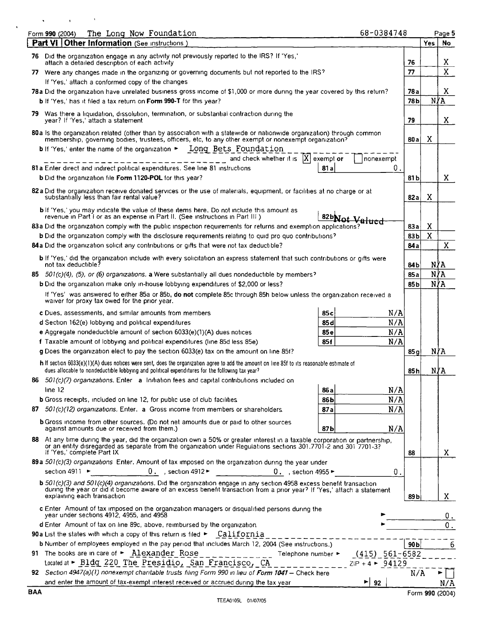|     | 68-0384748<br>The Long Now Foundation<br>Form 990 (2004)                                                                                                                                                                                                                                |                 |        | Page 5 |
|-----|-----------------------------------------------------------------------------------------------------------------------------------------------------------------------------------------------------------------------------------------------------------------------------------------|-----------------|--------|--------|
|     | <b>Part VI   Other Information (See instructions)</b>                                                                                                                                                                                                                                   |                 | Yes    |        |
| 76. | Did the organization engage in any activity not previously reported to the IRS? If 'Yes,'<br>attach a detailed description of each activity                                                                                                                                             | 76              |        |        |
|     | 77 Were any changes made in the organizing or governing documents but not reported to the IRS?                                                                                                                                                                                          | 77              |        |        |
|     | If 'Yes,' attach a conformed copy of the changes                                                                                                                                                                                                                                        |                 |        |        |
|     | 78a Did the organization have unrelated business gross income of \$1,000 or more during the year covered by this return?                                                                                                                                                                | 78 a            |        |        |
|     | <b>b</b> If 'Yes,' has it filed a tax return on Form 990-T for this year?                                                                                                                                                                                                               | 78 <sub>b</sub> | N∤A    |        |
|     | 79 Was there a liquidation, dissolution, termination, or substantial contraction during the<br>year? If 'Yes,' attach a statement                                                                                                                                                       | 79              |        |        |
|     | 80a Is the organization related (other than by association with a statewide or nationwide organization) through common<br>membership, governing bodies, trustees, officers, etc, to any other exempt or nonexempt organization?                                                         | 80 a l          | X      |        |
|     | b If 'Yes,' enter the name of the organization $\blacktriangleright$ Long Bets Foundation                                                                                                                                                                                               |                 |        |        |
|     | and check whether it is $ X $ exempt or<br>nonexempt                                                                                                                                                                                                                                    |                 |        |        |
|     | 81 a Enter direct and indirect political expenditures. See line 81 instructions<br>0.<br>81 a                                                                                                                                                                                           |                 |        |        |
|     | b Did the organization file Form 1120-POL for this year?                                                                                                                                                                                                                                | 81 b            |        |        |
|     | 82 a Did the organization receive donated services or the use of materials, equipment, or facilities at no charge or at<br>substantially less than fair rental value?                                                                                                                   | 82a             | Χ      |        |
|     | bif 'Yes,' you may indicate the value of these items here. Do not include this amount as                                                                                                                                                                                                |                 |        |        |
|     | revenue in Part I or as an expense in Part II. (See instructions in Part III.)<br>82bNot Valued                                                                                                                                                                                         |                 |        |        |
|     | 83a Did the organization comply with the public inspection requirements for returns and exemption applications?<br><b>b</b> Did the organization comply with the disclosure requirements relating to quid pro quo contributions?                                                        | 83a<br>83 bl    | X<br>X |        |
|     | 84a Did the organization solicit any contributions or gifts that were not tax deductible?                                                                                                                                                                                               | 84 a            |        |        |
|     | <b>b</b> If 'Yes,' did the organization include with every solicitation an express statement that such contributions or gifts were                                                                                                                                                      |                 |        |        |
|     | not tax deductible?                                                                                                                                                                                                                                                                     | 84b             | N∤A    |        |
|     | 85 501(c)(4), (5), or (6) organizations. a Were substantially all dues nondeductible by members?                                                                                                                                                                                        | 85a             | N/A    |        |
|     | <b>b</b> Did the organization make only in-house lobbying expenditures of \$2,000 or less?                                                                                                                                                                                              | 85 <sub>b</sub> | N∤A    |        |
|     | If 'Yes' was answered to either 85a or 85b, do not complete 85c through 85h below unless the organization received a<br>waiver for proxy tax owed for the prior year.                                                                                                                   |                 |        |        |
|     | N/A<br>c Dues, assessments, and similar amounts from members<br>85 <sub>c</sub>                                                                                                                                                                                                         |                 |        |        |
|     | N/A<br>85 <sub>d</sub><br>d Section 162(e) lobbying and political expenditures                                                                                                                                                                                                          |                 |        |        |
|     | N/A<br>e Aggregate nondeductible amount of section 6033(e)(1)(A) dues notices<br>85e                                                                                                                                                                                                    |                 |        |        |
|     | N/A<br>f Taxable amount of lobbying and political expenditures (line 85d less 85e)<br>85f                                                                                                                                                                                               |                 |        |        |
|     | g Does the organization elect to pay the section 6033(e) tax on the amount on line 85f?                                                                                                                                                                                                 | 85q             | N/A    |        |
|     | h If section 6033(e)(1)(A) dues notices were sent, does the organization agree to add the amount on line 85f to its reasonable estimate of<br>dues allocable to nondeductible lobbying and political expenditures for the following tax year?                                           | 85h             | NYA    |        |
| 86  | $501(c)/7$ organizations. Enter a Initiation fees and capital contributions included on                                                                                                                                                                                                 |                 |        |        |
|     | line 12<br>N/A<br>86 a<br>N/A<br><b>b</b> Gross receipts, included on line 12, for public use of club facilities<br>86b                                                                                                                                                                 |                 |        |        |
|     | N/A<br>87 501(c)(12) organizations. Enter, a Gross income from members or shareholders.<br>87a                                                                                                                                                                                          |                 |        |        |
|     | <b>b</b> Gross income from other sources. (Do not net amounts due or paid to other sources                                                                                                                                                                                              |                 |        |        |
|     | against amounts due or received from them.)<br>87b<br>N/A                                                                                                                                                                                                                               |                 |        |        |
|     | 88 At any time during the year, did the organization own a 50% or greater interest in a taxable corporation or partnership,<br>or an entity disregarded as separate from the organization under Regulations sections 301.7701-2 and 301 7701-3?                                         |                 |        |        |
|     | If 'Yes,' complete Part IX                                                                                                                                                                                                                                                              | 88              |        |        |
|     | 89a 501(c)(3) organizations Enter. Amount of tax imposed on the organization during the year under                                                                                                                                                                                      |                 |        |        |
|     | 0 . section 4912 $\blacktriangleright$ 0 . section 4955 $\blacktriangleright$<br>section 4911 $\blacktriangleright$<br>0.                                                                                                                                                               |                 |        |        |
|     |                                                                                                                                                                                                                                                                                         |                 |        |        |
|     | $\mathbf b$ 501(c)(3) and 501(c)(4) organizations. Did the organization engage in any section 4958 excess benefit transaction<br>during the year or did it become aware of an excess benefit transaction from a prior year? If 'Yes,' attach a statement<br>explaining each transaction | 89b             |        |        |
|     | c Enter Amount of tax imposed on the organization managers or disqualified persons during the<br>year under sections 4912, 4955, and 4958                                                                                                                                               |                 |        |        |
|     | d Enter Amount of tax on line 89c, above, reimbursed by the organization                                                                                                                                                                                                                |                 |        |        |
|     | <b>90a</b> List the states with which a copy of this return is filed $\blacktriangleright$ California                                                                                                                                                                                   |                 |        |        |
|     | b Number of employees employed in the pay period that includes March 12, 2004 (See instructions.)                                                                                                                                                                                       | 90Ь             |        |        |
|     | 91 The books are in care of $\triangleright$ $\frac{\text{Alexander}}{\text{Alexander}}$ Rose<br>Telephone number ►<br>$(415)$ 561-6582                                                                                                                                                 |                 |        |        |
|     | Located at ► Bldg 220 The Presidio, San Francisco, CA<br>$ZIP + 4$ > 94129<br>92 Section 4947(a)(1) nonexempt charitable trusts filing Form 990 in lieu of Form 1041 - Check here                                                                                                       | N/A             |        |        |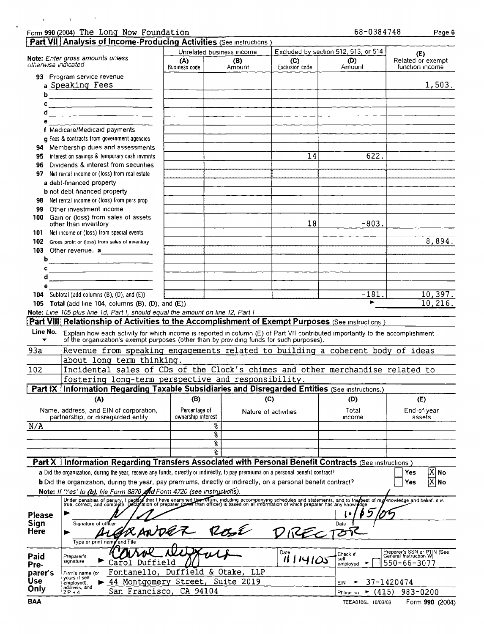|                     | Form 990 (2004) The Long Now Foundation                                                                                                                                                                                    |                                     |                           |                | 68-0384748                           | Page 6                                                |
|---------------------|----------------------------------------------------------------------------------------------------------------------------------------------------------------------------------------------------------------------------|-------------------------------------|---------------------------|----------------|--------------------------------------|-------------------------------------------------------|
|                     | Part VII Analysis of Income-Producing Activities (See Instructions)                                                                                                                                                        |                                     |                           |                |                                      |                                                       |
|                     |                                                                                                                                                                                                                            |                                     | Unrelated business income |                | Excluded by section 512, 513, or 514 | (E)                                                   |
|                     | Note: Enter gross amounts unless                                                                                                                                                                                           | (A)<br>(B)                          |                           | (C)            | (D)                                  | Related or exempt                                     |
| otherwise indicated |                                                                                                                                                                                                                            | <b>Business code</b>                | Amount                    | Exclusion code | Amount                               | function income                                       |
|                     | 93 Program service revenue                                                                                                                                                                                                 |                                     |                           |                |                                      |                                                       |
|                     | a Speaking Fees                                                                                                                                                                                                            |                                     |                           |                |                                      | 1,503.                                                |
|                     | b                                                                                                                                                                                                                          |                                     |                           |                |                                      |                                                       |
|                     |                                                                                                                                                                                                                            |                                     |                           |                |                                      |                                                       |
|                     | $\overbrace{d}$                                                                                                                                                                                                            |                                     |                           |                |                                      |                                                       |
| 6                   |                                                                                                                                                                                                                            |                                     |                           |                |                                      |                                                       |
|                     | f Medicare/Medicaid payments                                                                                                                                                                                               |                                     |                           |                |                                      |                                                       |
|                     | g Fees & contracts from government agencies                                                                                                                                                                                |                                     |                           |                |                                      |                                                       |
|                     | 94 Membership dues and assessments                                                                                                                                                                                         |                                     |                           |                |                                      |                                                       |
| 95                  | Interest on savings & temporary cash invmnts                                                                                                                                                                               |                                     |                           | 14             | 622.                                 |                                                       |
| 96                  | Dividends & interest from securities                                                                                                                                                                                       |                                     |                           |                |                                      |                                                       |
| 97                  | Net rental income or (loss) from real estate                                                                                                                                                                               |                                     |                           |                |                                      |                                                       |
|                     | a debt-financed property                                                                                                                                                                                                   |                                     |                           |                |                                      |                                                       |
|                     | <b>b</b> not debt-financed property                                                                                                                                                                                        |                                     |                           |                |                                      |                                                       |
|                     |                                                                                                                                                                                                                            |                                     |                           |                |                                      |                                                       |
| 98<br>99            | Net rental income or (loss) from pers prop<br>Other investment income                                                                                                                                                      |                                     |                           |                |                                      |                                                       |
|                     | 100 Gain or (loss) from sales of assets                                                                                                                                                                                    |                                     |                           |                |                                      |                                                       |
|                     | other than inventory                                                                                                                                                                                                       |                                     |                           | 18             | $-803.$                              |                                                       |
| 101                 | Net income or (loss) from special events                                                                                                                                                                                   |                                     |                           |                |                                      |                                                       |
|                     | 102 Gross profit or (loss) from sales of inventory                                                                                                                                                                         |                                     |                           |                |                                      | 8,894.                                                |
|                     | 103 Other revenue. a                                                                                                                                                                                                       |                                     |                           |                |                                      |                                                       |
| b                   |                                                                                                                                                                                                                            |                                     |                           |                |                                      |                                                       |
| c                   |                                                                                                                                                                                                                            |                                     |                           |                |                                      |                                                       |
| d                   | <u> 1989 - Johann John Stone, mars et al.</u>                                                                                                                                                                              |                                     |                           |                |                                      |                                                       |
| е                   |                                                                                                                                                                                                                            |                                     |                           |                |                                      |                                                       |
|                     | 104 Subtotal (add columns (B), (D), and (E))                                                                                                                                                                               |                                     |                           |                | $-181.$                              | 10, 397.                                              |
|                     | 105 Total (add line 104, columns (B), (D), and (E))                                                                                                                                                                        |                                     |                           |                |                                      | 10, 216.                                              |
|                     | Note: Line 105 plus line 1d, Part I, should equal the amount on line 12, Part I                                                                                                                                            |                                     |                           |                |                                      |                                                       |
|                     | <b>Part VIII Relationship of Activities to the Accomplishment of Exempt Purposes</b> (See instructions)                                                                                                                    |                                     |                           |                |                                      |                                                       |
|                     |                                                                                                                                                                                                                            |                                     |                           |                |                                      |                                                       |
| Line No.<br>▼       | Explain how each activity for which income is reported in column (E) of Part VII contributed importantly to the accomplishment<br>of the organization's exempt purposes (other than by providing funds for such purposes). |                                     |                           |                |                                      |                                                       |
|                     |                                                                                                                                                                                                                            |                                     |                           |                |                                      |                                                       |
| 93a                 | Revenue from speaking engagements related to building a coherent body of ideas                                                                                                                                             |                                     |                           |                |                                      |                                                       |
|                     | about long term thinking.                                                                                                                                                                                                  |                                     |                           |                |                                      |                                                       |
| 102                 | Incidental sales of CDs of the Clock's chimes and other merchandise related to                                                                                                                                             |                                     |                           |                |                                      |                                                       |
|                     | fostering long-term perspective and responsibility.                                                                                                                                                                        |                                     |                           |                |                                      |                                                       |
| <b>COLLEGE TAX</b>  | Part IX Information Regarding Taxable Subsidiaries and Disregarded Entities (See Instructions.)                                                                                                                            |                                     |                           |                |                                      |                                                       |
|                     | (A)                                                                                                                                                                                                                        | (B)                                 |                           | (C)            | (D)                                  | (E)                                                   |
|                     |                                                                                                                                                                                                                            |                                     |                           |                |                                      |                                                       |
|                     | Name, address, and EIN of corporation,<br>partnership, or disregarded entity                                                                                                                                               | Percentage of<br>ownership interest | Nature of activities      |                | Total                                | End-of-year<br>assets                                 |
|                     |                                                                                                                                                                                                                            |                                     |                           |                | income                               |                                                       |
| N/A                 |                                                                                                                                                                                                                            |                                     | ę۶<br>ន្ធ                 |                |                                      |                                                       |
|                     |                                                                                                                                                                                                                            |                                     |                           |                |                                      |                                                       |
|                     |                                                                                                                                                                                                                            |                                     | ş<br>옹                    |                |                                      |                                                       |
|                     |                                                                                                                                                                                                                            |                                     |                           |                |                                      |                                                       |
| Part X              | Information Regarding Transfers Associated with Personal Benefit Contracts (See Instructions)                                                                                                                              |                                     |                           |                |                                      |                                                       |
|                     | a Did the organization, during the year, receive any funds, directly or indirectly, to pay premiums on a personal benefit contract?                                                                                        |                                     |                           |                |                                      | $ X $ No<br>Yes                                       |
|                     | b Did the organization, during the year, pay premiums, directly or indirectly, on a personal benefit contract?                                                                                                             |                                     |                           |                |                                      | $\overline{\text{X}}$<br>No<br>Yes                    |
|                     | Note: If 'Yes' to (b), file Form 8870 and Form 4720 (see instructions).                                                                                                                                                    |                                     |                           |                |                                      |                                                       |
|                     | Under penalties of perjury, I deckle that I have examined the return, including accompanying schedules and statements, and to the best of my knowledge and belief, it is                                                   |                                     |                           |                |                                      |                                                       |
|                     |                                                                                                                                                                                                                            |                                     |                           |                |                                      |                                                       |
| <b>Please</b>       |                                                                                                                                                                                                                            |                                     |                           |                |                                      |                                                       |
| Sign                | Signature of officer                                                                                                                                                                                                       |                                     |                           |                | Date                                 |                                                       |
| Here                |                                                                                                                                                                                                                            |                                     |                           |                |                                      |                                                       |
|                     | Type or print name<br>and title                                                                                                                                                                                            |                                     |                           |                |                                      |                                                       |
|                     |                                                                                                                                                                                                                            |                                     |                           | Date           | Check if                             | Preparer's SSN or PTIN (See<br>General Instruction W) |
| Paid                | Preparer's<br>signature<br>Duffield<br>Car<br>οI                                                                                                                                                                           |                                     |                           | 1114105        | self<br>employed                     | 550-66-3077                                           |
| Pre-                | Fontanello,                                                                                                                                                                                                                | Duffield & Otake,                   | <b>TTB</b>                |                |                                      |                                                       |
| parer's<br>Use      | Firm's name (or<br>yours if self                                                                                                                                                                                           |                                     |                           |                |                                      |                                                       |
| Only                | 44 Montgomery Street,<br>employed),<br>address, and                                                                                                                                                                        |                                     | Suite 2019                |                | EIN<br>٠                             | 37-1420474                                            |
|                     | San Francisco,<br>$ZIP + 4$                                                                                                                                                                                                | CA 94104                            |                           |                | (415)<br>Phone no                    | 983-0200                                              |
| <b>BAA</b>          |                                                                                                                                                                                                                            |                                     |                           |                | TEEA0106L 10/03/03                   | Form 990 (2004)                                       |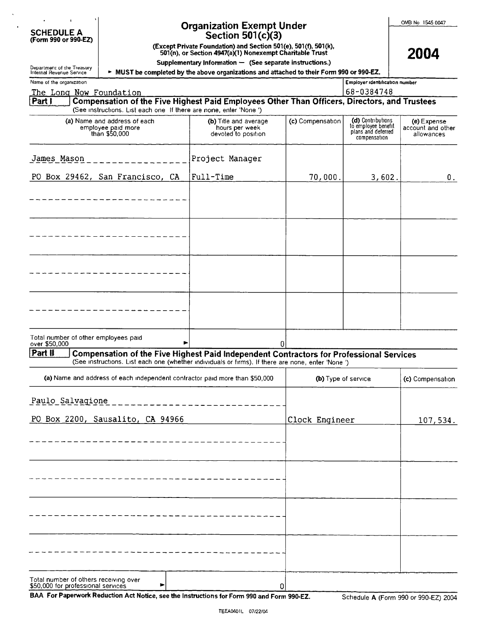| <b>SCHEDULE A</b>    |  |
|----------------------|--|
| (Form 990 or 990-EZ) |  |

### **Organization Exempt Under** Section 501(c)(3)

(Except Private Foundation) and Section 501(e), 501(f), 501(k),<br>501(n), or Section 4947(a)(1) Nonexempt Charitable Trust

OMB No 1545 0047

|  |  | $\alpha$ rivale roundation) and because by $(\epsilon)$ , by $(\eta, \beta)$ is $(\kappa)$ |  |
|--|--|--------------------------------------------------------------------------------------------|--|
|  |  | (n), or Section 4947(a)(1) Nonexempt Charitable Trust                                      |  |

2004

Supplementary Information - (See separate instructions.) MUST be completed by the above organizations and attached to their Form 990 or 990-EZ.

| Department of the Treasury<br>Internal Revenue Service                                                                                                                                                   | $\cdots$ $\cdots$ $\cdots$ $\cdots$ $\cdots$ $\cdots$ $\cdots$<br>> MUST be completed by the above organizations and attached to their Form 990 or 990-EZ. |                     |                                                                                |                                                |
|----------------------------------------------------------------------------------------------------------------------------------------------------------------------------------------------------------|------------------------------------------------------------------------------------------------------------------------------------------------------------|---------------------|--------------------------------------------------------------------------------|------------------------------------------------|
| Name of the organization                                                                                                                                                                                 |                                                                                                                                                            |                     | Employer identification number                                                 |                                                |
| The Long Now Foundation                                                                                                                                                                                  |                                                                                                                                                            |                     | 68-0384748                                                                     |                                                |
| Compensation of the Five Highest Paid Employees Other Than Officers, Directors, and Trustees<br>Part I<br>(See instructions. List each one If there are none, enter 'None')                              |                                                                                                                                                            |                     |                                                                                |                                                |
| (a) Name and address of each<br>employee paid more<br>than \$50,000                                                                                                                                      | (b) Title and average<br>hours per week<br>devoted to position                                                                                             | (c) Compensation    | (d) Contributions<br>to employee benefit<br>plans and deferred<br>compensation | (e) Expense<br>account and other<br>allowances |
| James Mason                                                                                                                                                                                              | Project Manager                                                                                                                                            |                     |                                                                                |                                                |
| PO Box 29462, San Francisco, CA                                                                                                                                                                          | Full-Time                                                                                                                                                  | 70,000.             | 3,602.                                                                         | О.                                             |
|                                                                                                                                                                                                          |                                                                                                                                                            |                     |                                                                                |                                                |
|                                                                                                                                                                                                          |                                                                                                                                                            |                     |                                                                                |                                                |
|                                                                                                                                                                                                          |                                                                                                                                                            |                     |                                                                                |                                                |
|                                                                                                                                                                                                          |                                                                                                                                                            |                     |                                                                                |                                                |
|                                                                                                                                                                                                          |                                                                                                                                                            |                     |                                                                                |                                                |
| Total number of other employees paid<br>over \$50,000<br>►                                                                                                                                               |                                                                                                                                                            | $\overline{0}$      |                                                                                |                                                |
| Part II<br>Compensation of the Five Highest Paid Independent Contractors for Professional Services<br>(See instructions. List each one (whether individuals or firms). If there are none, enter 'None ') |                                                                                                                                                            |                     |                                                                                |                                                |
| (a) Name and address of each independent contractor paid more than \$50,000                                                                                                                              |                                                                                                                                                            | (b) Type of service |                                                                                | (c) Compensation                               |
| Paulo Salvagione                                                                                                                                                                                         |                                                                                                                                                            |                     |                                                                                |                                                |
| PO Box 2200, Sausalito, CA 94966                                                                                                                                                                         | Clock Engineer                                                                                                                                             | 107,534.            |                                                                                |                                                |
|                                                                                                                                                                                                          |                                                                                                                                                            |                     |                                                                                |                                                |
|                                                                                                                                                                                                          |                                                                                                                                                            |                     |                                                                                |                                                |
|                                                                                                                                                                                                          |                                                                                                                                                            |                     |                                                                                |                                                |
|                                                                                                                                                                                                          |                                                                                                                                                            |                     |                                                                                |                                                |
|                                                                                                                                                                                                          |                                                                                                                                                            |                     |                                                                                |                                                |
|                                                                                                                                                                                                          |                                                                                                                                                            |                     |                                                                                |                                                |

BAA For Paperwork Reduction Act Notice, see the Instructions for Form 990 and Form 990-EZ.

 $\blacktriangleright$ 

Total number of others receiving over<br>\$50,000 for professional services

 $\Omega$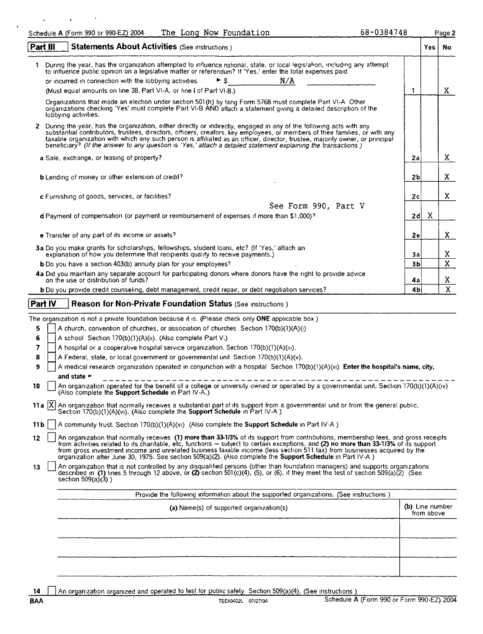|                | The Long Now Foundation<br>Schedule A (Form 990 or 990-EZ) 2004                                                                                                                                                                                                                                                                                                                                                                                                                                                          | 68-0384748           |                               | Page 2            |
|----------------|--------------------------------------------------------------------------------------------------------------------------------------------------------------------------------------------------------------------------------------------------------------------------------------------------------------------------------------------------------------------------------------------------------------------------------------------------------------------------------------------------------------------------|----------------------|-------------------------------|-------------------|
|                | <b>Statements About Activities (See instructions)</b><br>Part III                                                                                                                                                                                                                                                                                                                                                                                                                                                        |                      | Yes                           | No                |
|                | During the year, has the organization attempted to influence national, state, or local legislation, including any attempt                                                                                                                                                                                                                                                                                                                                                                                                |                      |                               |                   |
|                | to influence public opinion on a legislative matter or referendum? If 'Yes,' enter the total expenses paid<br>► s<br>N/A<br>or incurred in connection with the lobbying activities.                                                                                                                                                                                                                                                                                                                                      |                      |                               |                   |
|                | (Must equal amounts on line 38, Part VI-A, or line $i$ of Part VI-B.)                                                                                                                                                                                                                                                                                                                                                                                                                                                    | 1                    |                               | X.                |
|                | Organizations that made an election under section 501(h) by filing Form 5768 must complete Part VI-A Other                                                                                                                                                                                                                                                                                                                                                                                                               |                      |                               |                   |
|                | organizations checking 'Yes' must complete Part VI-B AND attach a statement giving a detailed description of the<br>lobbying activities.                                                                                                                                                                                                                                                                                                                                                                                 |                      |                               |                   |
| $\mathbf{2}^-$ | During the year, has the organization, either directly or indirectly, engaged in any of the following acts with any<br>substantial contributors, trustees, directors, officers, creators, key employees, or members of their families, or with any<br>taxable organization with which any such person is affiliated as an officer, director, trustee, majority owner, or principal<br>beneficiary? (If the answer to any question is 'Yes,' attach a detailed statement explaining the transactions)                     |                      |                               |                   |
|                | a Sale, exchange, or leasing of property?                                                                                                                                                                                                                                                                                                                                                                                                                                                                                | 2a                   |                               | X.                |
|                | <b>b</b> Lending of money or other extension of credit?                                                                                                                                                                                                                                                                                                                                                                                                                                                                  | 2Ь                   |                               | X                 |
|                | c Furnishing of goods, services, or facilities?                                                                                                                                                                                                                                                                                                                                                                                                                                                                          | 2c                   |                               | X                 |
|                | See Form 990, Part V                                                                                                                                                                                                                                                                                                                                                                                                                                                                                                     |                      |                               |                   |
|                | d Payment of compensation (or payment or reimbursement of expenses if more than \$1,000)?                                                                                                                                                                                                                                                                                                                                                                                                                                | 2d                   | Χ                             |                   |
|                |                                                                                                                                                                                                                                                                                                                                                                                                                                                                                                                          |                      |                               |                   |
|                | e Transfer of any part of its income or assets?                                                                                                                                                                                                                                                                                                                                                                                                                                                                          | 2e                   |                               | X.                |
|                | 3a Do you make grants for scholarships, fellowships, student loans, etc? (If 'Yes,' attach an<br>explanation of how you determine that recipients qualify to receive payments.)                                                                                                                                                                                                                                                                                                                                          | За                   |                               | X                 |
|                | <b>b</b> Do you have a section 403(b) annuity plan for your employees?                                                                                                                                                                                                                                                                                                                                                                                                                                                   | 3b                   |                               | X                 |
|                | 4a Did you maintain any separate account for participating donors where donors have the right to provide advice<br>on the use or distribution of funds?                                                                                                                                                                                                                                                                                                                                                                  |                      |                               |                   |
|                | b Do you provide credit counseling, debt management, credit repair, or debt negotiation services?                                                                                                                                                                                                                                                                                                                                                                                                                        | 4a<br>4 <sub>b</sub> |                               | X<br>$\mathbf{x}$ |
|                |                                                                                                                                                                                                                                                                                                                                                                                                                                                                                                                          |                      |                               |                   |
|                | Part IV<br><b>Reason for Non-Private Foundation Status (See Instructions)</b>                                                                                                                                                                                                                                                                                                                                                                                                                                            |                      |                               |                   |
|                | The organization is not a private foundation because it is. (Please check only ONE applicable box)                                                                                                                                                                                                                                                                                                                                                                                                                       |                      |                               |                   |
| 5              | A church, convention of churches, or association of churches Section 170(b)(1)(A)(i)                                                                                                                                                                                                                                                                                                                                                                                                                                     |                      |                               |                   |
| 6              | A school Section 170(b)(1)(A)(ii). (Also complete Part V.)                                                                                                                                                                                                                                                                                                                                                                                                                                                               |                      |                               |                   |
| 7              | A hospital or a cooperative hospital service organization. Section 170(b)(1)(A)(iii).                                                                                                                                                                                                                                                                                                                                                                                                                                    |                      |                               |                   |
| 8              | A Federal, state, or local government or governmental unit Section 170(b)(1)(A)(v).                                                                                                                                                                                                                                                                                                                                                                                                                                      |                      |                               |                   |
| 9              | A medical research organization operated in conjunction with a hospital Section 170(b)(1)(A)(iii) Enter the hospital's name, city,<br>and state $\blacktriangleright$                                                                                                                                                                                                                                                                                                                                                    |                      |                               |                   |
| 10             | An organization operated for the benefit of a college or university owned or operated by a governmental unit. Section 170(b)(1)(A)(iv)<br>(Also complete the Support Schedule in Part IV-A.)                                                                                                                                                                                                                                                                                                                             |                      |                               |                   |
|                | 11a $ X $ An organization that normally receives a substantial part of its support from a governmental unit or from the general public.<br>Section 170(b)(1)(A)(vi). (Also complete the <b>Support Schedule</b> in Part IV-A)                                                                                                                                                                                                                                                                                            |                      |                               |                   |
| 11 b           | A community trust. Section 170(b)(1)(A)(vi) (Also complete the <b>Support Schedule</b> in Part IV-A)                                                                                                                                                                                                                                                                                                                                                                                                                     |                      |                               |                   |
| 12             | An organization that normally receives (1) more than 33-1/3% of its support from contributions, membership fees, and gross receipts<br>from activities related to its charitable, etc, functions - subject to certain exceptions, and (2) no more than 33-1/3% of its support<br>from gross investment income and unrelated business taxable income (less section 511 tax) from businesses acquired by the<br>organization after June 30, 1975. See section 509(a)(2). (Also complete the Support Schedule in Part IV-A) |                      |                               |                   |
| 13             | An organization that is not controlled by any disqualified persons (other than foundation managers) and supports organizations<br>described in (1) lines 5 through 12 above, or (2) section 501(c)(4), (5), or (6), if they meet the test of section 509(a)(2) (See<br>section $509(a)(3)$ )                                                                                                                                                                                                                             |                      |                               |                   |
|                | Provide the following information about the supported organizations. (See instructions)                                                                                                                                                                                                                                                                                                                                                                                                                                  |                      |                               |                   |
|                | (a) Name(s) of supported organization(s)                                                                                                                                                                                                                                                                                                                                                                                                                                                                                 |                      | (b) Line number<br>from above |                   |
|                |                                                                                                                                                                                                                                                                                                                                                                                                                                                                                                                          |                      |                               |                   |
|                |                                                                                                                                                                                                                                                                                                                                                                                                                                                                                                                          |                      |                               |                   |
|                |                                                                                                                                                                                                                                                                                                                                                                                                                                                                                                                          |                      |                               |                   |

14 **H** An organization organized and operated to test for public safety Section 509(a)(4). (See instructions )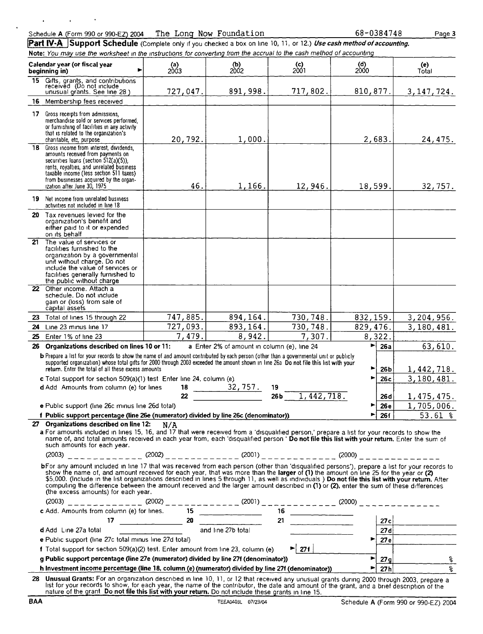#### Schedule A (Form 990 or 990-EZ) 2004 The Long Now Foundation

68-0384748

Page 3

Part IV-A Support Schedule (Complete only if you checked a box on line 10, 11, or 12.) Use cash method of accounting. Note: You may use the worksheet in the instructions for converting from the accrual to the cash method of accounting

|                 | Calendar year (or fiscal year<br>beginning in)                                                                                                                                                                                                                                                                                                                                                                                                                                                                                                                        | (a)<br>2003 | (b)<br>2002                                 | <b>(c)</b><br>2001                  | (d)<br>2000    |                  | (e)<br>Total     |  |
|-----------------|-----------------------------------------------------------------------------------------------------------------------------------------------------------------------------------------------------------------------------------------------------------------------------------------------------------------------------------------------------------------------------------------------------------------------------------------------------------------------------------------------------------------------------------------------------------------------|-------------|---------------------------------------------|-------------------------------------|----------------|------------------|------------------|--|
|                 | 15 Gifts, grants, and contributions<br>received (Do not include<br>unusual grants. See line 28)                                                                                                                                                                                                                                                                                                                                                                                                                                                                       | 727,047.    | 891,998.                                    | 717,802.                            | 810, 877.      |                  | 3, 147, 724.     |  |
|                 | 16 Membership fees received                                                                                                                                                                                                                                                                                                                                                                                                                                                                                                                                           |             |                                             |                                     |                |                  |                  |  |
| 17 <sup>2</sup> | Gross receipts from admissions,<br>merchandise sold or services performed.<br>or furnishing of facilities in any activity<br>that is related to the organization's<br>charitable, etc, purpose                                                                                                                                                                                                                                                                                                                                                                        | 20,792.     | 1,000.                                      |                                     | 2,683.         |                  | 24,475.          |  |
|                 | 18 Gross income from interest, dividends,<br>amounts received from payments on<br>securities loans (section 512(a)(5)).<br>rents, royalties, and unrelated business<br>taxable income (less section 511 taxes)<br>from businesses acquired by the organ-                                                                                                                                                                                                                                                                                                              | 46.         |                                             |                                     |                |                  |                  |  |
| 19 -            | ization after June 30, 1975<br>Net income from unrelated business                                                                                                                                                                                                                                                                                                                                                                                                                                                                                                     |             | 1,166.                                      | 12,946.                             | 18,599.        |                  | 32, 757.         |  |
|                 | activities not included in line 18                                                                                                                                                                                                                                                                                                                                                                                                                                                                                                                                    |             |                                             |                                     |                |                  |                  |  |
|                 | 20 Tax revenues levied for the<br>organization's benefit and<br>either paid to it or expended<br>on its behalf                                                                                                                                                                                                                                                                                                                                                                                                                                                        |             |                                             |                                     |                |                  |                  |  |
| 21              | The value of services or<br>facilities furnished to the<br>organization by a governmental<br>unit without charge. Do not<br>include the value of services or<br>facilities generally furnished to<br>the public without charge                                                                                                                                                                                                                                                                                                                                        |             |                                             |                                     |                |                  |                  |  |
|                 | 22 Other income. Attach a<br>schedule. Do not include<br>gain or (loss) from sale of<br>capital assets                                                                                                                                                                                                                                                                                                                                                                                                                                                                |             |                                             |                                     |                |                  |                  |  |
|                 | 23 Total of lines 15 through 22                                                                                                                                                                                                                                                                                                                                                                                                                                                                                                                                       | 747,885.    | 894, 164.                                   | 730,748.                            | 832, 159.      |                  | 3, 204, 956.     |  |
| 24              | Line 23 minus line 17                                                                                                                                                                                                                                                                                                                                                                                                                                                                                                                                                 | 727,093.    | 893,164.                                    | 730,748.                            | 829, 476.      |                  | 3,180,481.       |  |
| 25              | Enter 1% of line 23                                                                                                                                                                                                                                                                                                                                                                                                                                                                                                                                                   | 7,479.      | 8,942.                                      | 7,307.                              | 8,322.         |                  |                  |  |
| 26              | Organizations described on lines 10 or 11:                                                                                                                                                                                                                                                                                                                                                                                                                                                                                                                            |             | a Enter 2% of amount in column (e), line 24 |                                     | ►              | 26a              | 63,610.          |  |
|                 | b Prepare a list for your records to show the name of and amount contributed by each person (other than a governmental unit or publicly<br>supported organization) whose total gifts for 2000 through 2003 exceeded the amount shown in line 26a Do not file this list with your<br>return. Enter the total of all these excess amounts                                                                                                                                                                                                                               |             |                                             |                                     | ►              | 26 <sub>b</sub>  | 1,442,718.       |  |
|                 | c Total support for section 509(a)(1) test Enter line 24, column (e).                                                                                                                                                                                                                                                                                                                                                                                                                                                                                                 |             |                                             |                                     |                | 26c              | 3,180,481.       |  |
|                 | d Add Amounts from column (e) for lines                                                                                                                                                                                                                                                                                                                                                                                                                                                                                                                               | 18<br>22    | $\frac{32,757}{ }$                          | 19<br>26 <sub>b</sub><br>1,442,718. |                | 26 d             | 1, 475, 475.     |  |
|                 | e Public support (line 26c minus line 26d total)                                                                                                                                                                                                                                                                                                                                                                                                                                                                                                                      |             |                                             |                                     | ▶              | 26e              | 1,705,006.       |  |
|                 |                                                                                                                                                                                                                                                                                                                                                                                                                                                                                                                                                                       |             |                                             |                                     |                | $\overline{26f}$ | $53.61$ %        |  |
|                 | f Public support percentage (line 26e (numerator) divided by line 26c (denominator)).<br>27 Organizations described on line 12:<br>N/A<br>a For amounts included in lines 15, 16, and 17 that were received from a 'disqualified person,' prepare a list for your records to show the<br>name of, and total amounts received in each year from, each 'disqualified person ' Do not file this list with your return. Enter the sum of<br>such amounts for each year.                                                                                                   |             |                                             |                                     |                |                  |                  |  |
|                 | $(2003)$ $\overline{a}$ $\overline{a}$ $\overline{a}$ $\overline{a}$ $\overline{a}$ $\overline{a}$ $\overline{a}$ $\overline{a}$ $\overline{a}$ $\overline{a}$ $\overline{a}$ $\overline{a}$ $\overline{a}$ $\overline{a}$ $\overline{a}$ $\overline{a}$ $\overline{a}$ $\overline{a}$ $\overline{a}$ $\overline{a}$ $\overline{a}$ $\overline{a}$ $\overline{a}$ $\overline{$                                                                                                                                                                                        |             |                                             |                                     |                |                  |                  |  |
|                 | bFor any amount included in line 17 that was received from each person (other than 'disqualified persons'), prepare a list for your records to<br>show the name of, and amount received for each year, that was more than the larger of (1) the amount on line 25 for the year or (2)<br>\$5,000. (Include in the list organizations described in lines 5 through 11, as well as ind<br>computing the difference between the amount received and the larger amount described in (1) or (2), enter the sum of these differences<br>(the excess amounts) for each year. |             |                                             |                                     |                |                  |                  |  |
|                 | $(2003)$ $-- -- (2002)$ $-- (2002)$ $-- (2001)$ $-- (2000)$ $-- (2000)$ $-- (2000)$ $-- (2000)$ $-- (2000)$ $-- (2000)$ $-- (2000)$ $-- (2000)$ $-- (2000)$ $-- (2000)$ $-- (2000)$ $-- (2000)$ $-- (2000)$                                                                                                                                                                                                                                                                                                                                                           |             |                                             |                                     |                |                  |                  |  |
|                 | c Add. Amounts from column (e) for lines.                                                                                                                                                                                                                                                                                                                                                                                                                                                                                                                             |             |                                             |                                     |                |                  |                  |  |
|                 | d Add Line 27a total                                                                                                                                                                                                                                                                                                                                                                                                                                                                                                                                                  |             |                                             |                                     |                |                  |                  |  |
|                 | e Public support (line 27c total minus line 27d total)                                                                                                                                                                                                                                                                                                                                                                                                                                                                                                                |             |                                             |                                     |                |                  | $\overline{27e}$ |  |
|                 | f Total support for section 509(a)(2) test. Enter amount from line 23, column (e)                                                                                                                                                                                                                                                                                                                                                                                                                                                                                     |             |                                             | $\blacktriangleright$ 27f           |                |                  |                  |  |
|                 | g Public support percentage (line 27e (numerator) divided by line 27f (denominator))                                                                                                                                                                                                                                                                                                                                                                                                                                                                                  |             |                                             |                                     | $\blacksquare$ |                  | 27g<br>န         |  |
|                 | h Investment income percentage (line 18, column (e) (numerator) divided by line 27f (denominator))                                                                                                                                                                                                                                                                                                                                                                                                                                                                    |             |                                             |                                     | ▶              | 27 <sub>h</sub>  |                  |  |
|                 | 28 Unusual Grants: For an organization described in line 10, 11, or 12 that received any unusual grants during 2000 through 2003, prepare a<br>list for your records to show, for each year, the name of the contributor, the date and amount of the grant, and a brief description of the<br>nature of the grant Do not file this list with your return. Do not include these grants in line 15.                                                                                                                                                                     |             |                                             |                                     |                |                  |                  |  |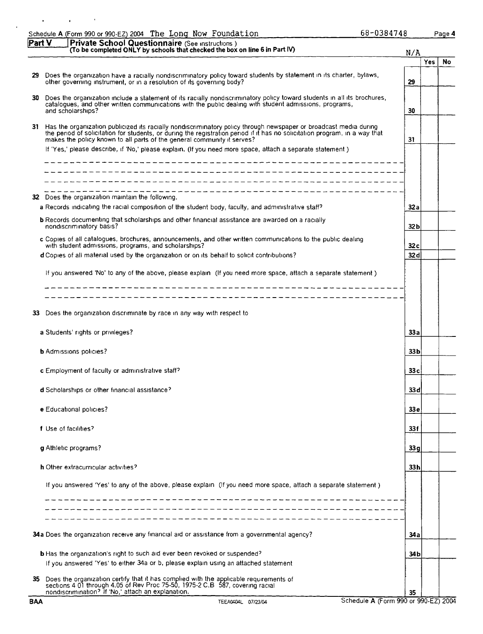|     | Schedule A (Form 990 or 990-EZ) 2004 The Long Now Foundation                                                                                                                                                                                                                                                                                                                                                                                | 68-0384748 |            | Page 4 |
|-----|---------------------------------------------------------------------------------------------------------------------------------------------------------------------------------------------------------------------------------------------------------------------------------------------------------------------------------------------------------------------------------------------------------------------------------------------|------------|------------|--------|
|     | Part V<br>Private School Questionnaire (See instructions)<br>(To be completed ONLY by schools that checked the box on line 6 in Part IV)                                                                                                                                                                                                                                                                                                    | N/A        |            |        |
|     |                                                                                                                                                                                                                                                                                                                                                                                                                                             |            | <b>Yes</b> | No     |
| 29. | Does the organization have a racially nondiscriminatory policy toward students by statement in its charter, bylaws,<br>other governing instrument, or in a resolution of its governing body?                                                                                                                                                                                                                                                | 29         |            |        |
| 30  | Does the organization include a statement of its racially nondiscriminatory policy toward students in all its brochures,<br>catalogues, and other written communications with the public dealing with student admissions, programs,<br>and scholarships?                                                                                                                                                                                    | 30         |            |        |
|     | 31 Has the organization publicized its racially nondiscriminatory policy through newspaper or broadcast media during<br>the period of solicitation for students, or during the registration period if it has no solicitation program, in a way that<br>makes the policy known to all parts of the general community it serves?<br>If 'Yes,' please describe, if 'No,' please explain. (If you need more space, attach a separate statement) | 31         |            |        |
|     | ______________________<br>---------------------------------                                                                                                                                                                                                                                                                                                                                                                                 |            |            |        |
| 32. | Does the organization maintain the following.                                                                                                                                                                                                                                                                                                                                                                                               |            |            |        |
|     | a Records indicating the racial composition of the student body, faculty, and administrative staff?                                                                                                                                                                                                                                                                                                                                         | 32a        |            |        |
|     | <b>b</b> Records documenting that scholarships and other financial assistance are awarded on a racially<br>nondiscriminatory basis?                                                                                                                                                                                                                                                                                                         | 32 b       |            |        |
|     | c Copies of all catalogues, brochures, announcements, and other written communications to the public dealing<br>with student admissions, programs, and scholarships?                                                                                                                                                                                                                                                                        | 32 c       |            |        |
|     | d Copies of all material used by the organization or on its behalf to solicit contributions?                                                                                                                                                                                                                                                                                                                                                | 32 d       |            |        |
|     | If you answered 'No' to any of the above, please explain (If you need more space, attach a separate statement)                                                                                                                                                                                                                                                                                                                              |            |            |        |
|     |                                                                                                                                                                                                                                                                                                                                                                                                                                             |            |            |        |
| 33  | Does the organization discriminate by race in any way with respect to                                                                                                                                                                                                                                                                                                                                                                       |            |            |        |
|     | a Students' rights or privileges?                                                                                                                                                                                                                                                                                                                                                                                                           | 33 a       |            |        |
|     | <b>b</b> Admissions policies?                                                                                                                                                                                                                                                                                                                                                                                                               | 33 b       |            |        |
|     | <b>c</b> Employment of faculty or administrative staff?                                                                                                                                                                                                                                                                                                                                                                                     | 33 c       |            |        |
|     | d Scholarships or other financial assistance?                                                                                                                                                                                                                                                                                                                                                                                               | 33 d       |            |        |
|     | e Educational policies?                                                                                                                                                                                                                                                                                                                                                                                                                     | 33 e       |            |        |
|     | f Use of facilities?                                                                                                                                                                                                                                                                                                                                                                                                                        | 33 f       |            |        |
|     | g Athletic programs?                                                                                                                                                                                                                                                                                                                                                                                                                        | 33 g       |            |        |
|     | h Other extracurricular activities?                                                                                                                                                                                                                                                                                                                                                                                                         | 33 h       |            |        |
|     | If you answered 'Yes' to any of the above, please explain (If you need more space, attach a separate statement)                                                                                                                                                                                                                                                                                                                             |            |            |        |
|     | ______________________________________                                                                                                                                                                                                                                                                                                                                                                                                      |            |            |        |
|     | 34a Does the organization receive any financial aid or assistance from a governmental agency?                                                                                                                                                                                                                                                                                                                                               | 34 a       |            |        |
|     | <b>b</b> Has the organization's right to such aid ever been revoked or suspended?                                                                                                                                                                                                                                                                                                                                                           | 34 b       |            |        |
|     | If you answered 'Yes' to either 34a or b, please explain using an attached statement                                                                                                                                                                                                                                                                                                                                                        |            |            |        |
| 35. | Does the organization certify that it has complied with the applicable requirements of sections 4.01 through 4.05 of Rev Proc 75-50, 1975-2 C.B 587, covering racial<br>nondiscrimination? If 'No,' attach an explanation.                                                                                                                                                                                                                  | 35         |            |        |

l,

 $\mathbf{r}$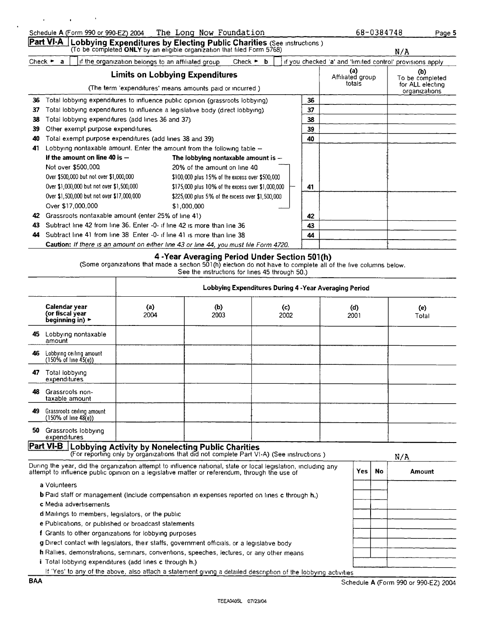[Part VI-A Lobbying Expenditures by Electing Public Charities (See instructions )

|                             |                                                                          | (To be completed ONLY by an eligible organization that filed Form 5768)               |                                                   |                             |   |    |                                                           | N/A                                                         |
|-----------------------------|--------------------------------------------------------------------------|---------------------------------------------------------------------------------------|---------------------------------------------------|-----------------------------|---|----|-----------------------------------------------------------|-------------------------------------------------------------|
| Check $\blacktriangleright$ | a                                                                        | if the organization belongs to an affiliated group                                    |                                                   | Check $\blacktriangleright$ | b |    | if you checked 'a' and 'limited control' provisions apply |                                                             |
|                             |                                                                          | (The term 'expenditures' means amounts paid or incurred)                              | <b>Limits on Lobbying Expenditures</b>            |                             |   |    | (a)<br>Affiliated group<br>totals                         | (b)<br>To be completed<br>for ALL electing<br>organizations |
| 36                          |                                                                          | Total lobbying expenditures to influence public opinion (grassroots lobbying)         |                                                   |                             |   | 36 |                                                           |                                                             |
| 37                          |                                                                          | Total lobbying expenditures to influence a legislative body (direct lobbying).        |                                                   |                             |   | 37 |                                                           |                                                             |
| 38                          |                                                                          | Total lobbying expenditures (add lines 36 and 37)                                     |                                                   |                             |   | 38 |                                                           |                                                             |
| 39                          |                                                                          | Other exempt purpose expenditures.                                                    |                                                   |                             |   | 39 |                                                           |                                                             |
| 40                          |                                                                          | Total exempt purpose expenditures (add lines 38 and 39)                               |                                                   |                             |   | 40 |                                                           |                                                             |
| 41                          |                                                                          | Lobbying nontaxable amount. Enter the amount from the following table $-$             |                                                   |                             |   |    |                                                           |                                                             |
|                             |                                                                          | If the amount on line 40 is $-$                                                       | The lobbying nontaxable amount is $-$             |                             |   |    |                                                           |                                                             |
|                             |                                                                          | Not over \$500,000.                                                                   | 20% of the amount on line 40                      |                             |   |    |                                                           |                                                             |
|                             |                                                                          | Over \$500,000 but not over \$1,000,000                                               | \$100,000 plus 15% of the excess over \$500,000   |                             |   |    |                                                           |                                                             |
|                             |                                                                          | Over \$1,000,000 but not over \$1,500,000                                             | \$175,000 plus 10% of the excess over \$1,000,000 |                             |   | 41 |                                                           |                                                             |
|                             |                                                                          | Over \$1,500,000 but not over \$17,000,000                                            | \$225,000 plus 5% of the excess over \$1,500,000  |                             |   |    |                                                           |                                                             |
|                             |                                                                          | Over \$17,000,000                                                                     | \$1,000,000                                       |                             |   |    |                                                           |                                                             |
| 42                          |                                                                          | Grassroots nontaxable amount (enter 25% of line 41)                                   |                                                   |                             |   | 42 |                                                           |                                                             |
| 43                          | Subtract line 42 from line 36. Enter -0- if line 42 is more than line 36 |                                                                                       |                                                   | 43                          |   |    |                                                           |                                                             |
| 44                          |                                                                          | Subtract line 41 from line 38 Enter -0- if line 41 is more than line 38               |                                                   |                             |   | 44 |                                                           |                                                             |
|                             |                                                                          | Caution: If there is an amount on either line 43 or line 44, you must file Form 4720. |                                                   |                             |   |    |                                                           |                                                             |

(Some organizations that made a section 501(h) election do not have to complete all of the five columns below. See the instructions for lines 45 through 50.)

|    |                                                                         | Lobbying Expenditures During 4 - Year Averaging Period |                                                                                                     |                                                                                                                |             |           |              |  |
|----|-------------------------------------------------------------------------|--------------------------------------------------------|-----------------------------------------------------------------------------------------------------|----------------------------------------------------------------------------------------------------------------|-------------|-----------|--------------|--|
|    | Calendar vear<br>(or fiscal year<br>beginning in) $\blacktriangleright$ | (a)<br>2004                                            | (b)<br>2003                                                                                         | (c)<br>2002                                                                                                    | (d)<br>2001 |           | (e)<br>Total |  |
| 45 | Lobbying nontaxable<br>amount                                           |                                                        |                                                                                                     |                                                                                                                |             |           |              |  |
| 46 | Lobbying ceiling amount<br>$(150\% \text{ of line } 45(e))$             |                                                        |                                                                                                     |                                                                                                                |             |           |              |  |
| 47 | Total lobbying<br>expenditures                                          |                                                        |                                                                                                     |                                                                                                                |             |           |              |  |
| 48 | Grassroots non-<br>taxable amount                                       |                                                        |                                                                                                     |                                                                                                                |             |           |              |  |
| 49 | Grassroots ceiling amount<br>(150% of line 48(e))                       |                                                        |                                                                                                     |                                                                                                                |             |           |              |  |
| 50 | Grassroots lobbying<br>expenditures                                     |                                                        |                                                                                                     |                                                                                                                |             |           |              |  |
|    | $Part VI-B$                                                             |                                                        | Lobbying Activity by Nonelecting Public Charities                                                   | (For reporting only by organizations that did not complete Part VI-A) (See instructions)                       |             |           | N/A          |  |
|    |                                                                         |                                                        | attempt to influence public opinion on a legislative matter or referendum, through the use of       | During the year, did the organization attempt to influence national, state or local legislation, including any | Yes         | <b>No</b> | Amount       |  |
|    | a Volunteers                                                            |                                                        |                                                                                                     |                                                                                                                |             |           |              |  |
|    | c Media advertisements                                                  |                                                        | <b>b</b> Paid staff or management (include compensation in expenses reported on lines c through h.) |                                                                                                                |             |           |              |  |
|    | d Mailings to members, legislators, or the public                       |                                                        |                                                                                                     |                                                                                                                |             |           |              |  |

e Publications, or published or broadcast statements f Grants to other organizations for lobbying purposes

g Direct contact with legislators, their staffs, government officials, or a legislative body

<sup>h</sup> Rallies, demonstrations, seminars, conventions, speeches, lectures, or any other means

i Total lobbying expenditures (add lines c through h.)

If 'Yes' to any of the above, also attach a statement giving a detailed description of the lobbying activities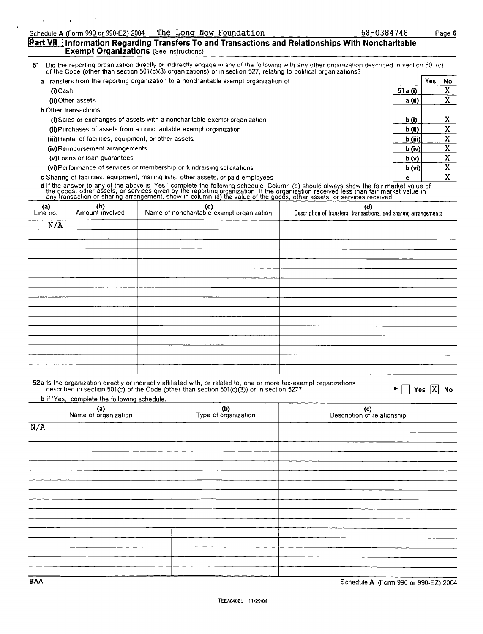#### **Part VII** Information Regarding Transfers To and Transactions and Relationships With Noncharitable **Exempt Organizations** (See Instructions)

of the reporting organization directly or indirectly engage in any of the following with any other organization described in section 501(c) of the Code (other than section 501(c)(3) organizations) or in section 527, relati

| a Transfers from the reporting organization to a noncharitable exempt organization of |                   | Yes. | No |
|---------------------------------------------------------------------------------------|-------------------|------|----|
| (i) Cash                                                                              | 51 a (i)          |      |    |
| (ii) Other assets                                                                     | a (ii)            |      |    |
| <b>b</b> Other transactions                                                           |                   |      |    |
| (i) Sales or exchanges of assets with a noncharitable exempt organization             | b (i)             |      | A  |
| (ii) Purchases of assets from a noncharitable exempt organization.                    | b (ii)            |      |    |
| (iii) Rental of facilities, equipment, or other assets.                               | b (iii)           |      |    |
| (iv) Reimbursement arrangements                                                       | $\mathbf{b}$ (iv) |      |    |
| (v) Loans or loan quarantees                                                          | b(v)              |      |    |
| (vi) Performance of services or membership or fundraising solicitations               | b (vi)            |      |    |
| c Sharing of facilities, equipment, mailing lists, other assets, or paid employees    |                   |      |    |

d if the answer to any of the above is 'Yes,' complete the following schedule Column (b) should always show the fair market value of<br>the goods, other assets, or services given by the reporting organization. If the organiza

| (a)<br>Line no. | (b)<br>Amount involved | (c)<br>Name of noncharitable exempt organization | (d)<br>Description of transfers, transactions, and sharing arrangements |
|-----------------|------------------------|--------------------------------------------------|-------------------------------------------------------------------------|
| N/A             |                        |                                                  |                                                                         |
|                 |                        |                                                  |                                                                         |
|                 |                        |                                                  |                                                                         |
|                 |                        |                                                  |                                                                         |
|                 |                        |                                                  |                                                                         |
|                 |                        |                                                  |                                                                         |
|                 |                        |                                                  |                                                                         |
|                 |                        |                                                  |                                                                         |
|                 |                        |                                                  |                                                                         |
|                 |                        |                                                  |                                                                         |
|                 |                        |                                                  |                                                                         |
|                 |                        |                                                  |                                                                         |
|                 |                        |                                                  |                                                                         |
|                 |                        |                                                  |                                                                         |

b if 'Yes,' complete the following schedule.

| (a)<br>Name of organization | (b)<br>Type of organization | (c)<br>Description of relationship |
|-----------------------------|-----------------------------|------------------------------------|
| N/A                         |                             |                                    |
|                             |                             |                                    |
|                             |                             |                                    |
|                             |                             |                                    |
|                             |                             |                                    |
|                             |                             |                                    |
|                             |                             |                                    |
|                             |                             |                                    |
|                             |                             |                                    |
|                             |                             |                                    |
|                             |                             |                                    |
|                             |                             |                                    |
|                             |                             |                                    |
|                             |                             |                                    |
|                             |                             |                                    |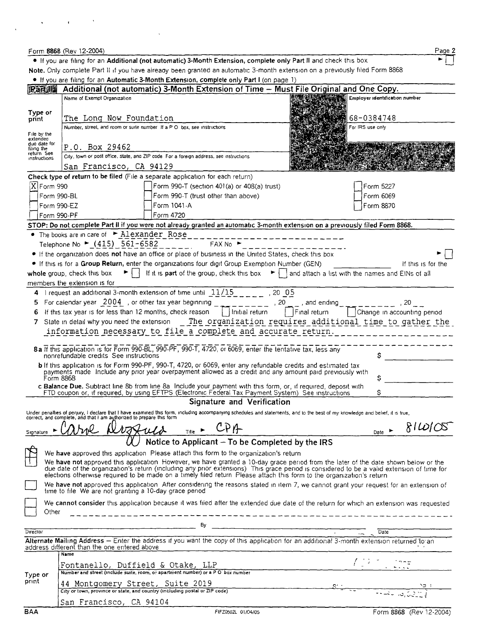|                            | Form 8868 (Rev 12-2004)                                                                                                                                                                                                        |                                  | Page 2                      |  |  |  |  |
|----------------------------|--------------------------------------------------------------------------------------------------------------------------------------------------------------------------------------------------------------------------------|----------------------------------|-----------------------------|--|--|--|--|
|                            | If you are filing for an Additional (not automatic) 3-Month Extension, complete only Part II and check this box                                                                                                                |                                  |                             |  |  |  |  |
|                            | Note. Only complete Part II if you have aiready been granted an automatic 3-month extension on a previously filed Form 8868                                                                                                    |                                  |                             |  |  |  |  |
|                            | . If you are filing for an Automatic 3-Month Extension, complete only Part I (on page 1)                                                                                                                                       |                                  |                             |  |  |  |  |
| <b>IRandi II</b>           | Additional (not automatic) 3-Month Extension of Time – Must File Original and One Copy.                                                                                                                                        |                                  |                             |  |  |  |  |
|                            | Name of Exempt Organization                                                                                                                                                                                                    | 图 Employer Identification number |                             |  |  |  |  |
| Type or                    |                                                                                                                                                                                                                                |                                  |                             |  |  |  |  |
| print                      | The Long Now Foundation                                                                                                                                                                                                        | 68-0384748                       |                             |  |  |  |  |
|                            | Number, street, and room or suite number. If a P O box, see instructions                                                                                                                                                       | For IRS use only                 |                             |  |  |  |  |
| File by the<br>extended    |                                                                                                                                                                                                                                |                                  |                             |  |  |  |  |
| due date for<br>filing the | P.O. Box 29462                                                                                                                                                                                                                 |                                  |                             |  |  |  |  |
| return See<br>instructions | City, town or post office, state, and ZIP code For a foreign address, see instructions                                                                                                                                         |                                  |                             |  |  |  |  |
|                            | San Francisco, CA 94129                                                                                                                                                                                                        |                                  |                             |  |  |  |  |
|                            | Check type of return to be filed (File a separate application for each return)                                                                                                                                                 |                                  |                             |  |  |  |  |
| XForm 990                  | Form 990-T (section 401(a) or 408(a) trust)                                                                                                                                                                                    | Form 5227                        |                             |  |  |  |  |
| Form 990-BL                | Form 990-T (trust other than above)                                                                                                                                                                                            | Form 6069                        |                             |  |  |  |  |
| Form 990-EZ                | Form 1041-A                                                                                                                                                                                                                    | Form 8870                        |                             |  |  |  |  |
| Form 990-PF                | Form 4720                                                                                                                                                                                                                      |                                  |                             |  |  |  |  |
|                            | STOP: Do not complete Part II if you were not already granted an automatic 3-month extension on a previously filed Form 8868.                                                                                                  |                                  |                             |  |  |  |  |
|                            | The books are in care of $\blacktriangleright$ Alexander Rose                                                                                                                                                                  |                                  |                             |  |  |  |  |
|                            | Telephone No ► (415) 561-6582<br>FAX No                                                                                                                                                                                        |                                  |                             |  |  |  |  |
|                            | • If the organization does not have an office or place of business in the United States, check this box                                                                                                                        |                                  |                             |  |  |  |  |
|                            | If this is for a Group Return, enter the organizations four digit Group Exemption Number (GEN)                                                                                                                                 |                                  | If this is for the          |  |  |  |  |
|                            | If it is <b>part</b> of the group, check this box $\bullet$   and attach a list with the names and EINs of all<br>whole group, check this box<br>$\blacktriangleright$ $\downarrow$ $\downarrow$                               |                                  |                             |  |  |  |  |
|                            | members the extension is for                                                                                                                                                                                                   |                                  |                             |  |  |  |  |
|                            | 4 I request an additional 3-month extension of time until $11/15$ _ _ _ _ _ _ _ _ 20 _ 05                                                                                                                                      |                                  |                             |  |  |  |  |
| 5.                         | For calendar year $\left[2004\right]$ , or other tax year beginning<br>$------$ , 20 <sub>, 1</sub> , and ending                                                                                                               |                                  |                             |  |  |  |  |
|                            | Initial return<br>Final return<br>If this tax year is for less than 12 months, check reason                                                                                                                                    |                                  | Change in accounting period |  |  |  |  |
|                            |                                                                                                                                                                                                                                |                                  |                             |  |  |  |  |
|                            | The organization requires additional time to gather the<br>7 State in detail why you need the extension                                                                                                                        |                                  |                             |  |  |  |  |
|                            | information necessary to file a complete and accurate return.                                                                                                                                                                  |                                  |                             |  |  |  |  |
|                            | 8a If this application is for Form 990-BL, 990-PF, 990-T, 4720, or 6069, enter the tentative tax, less any                                                                                                                     |                                  |                             |  |  |  |  |
|                            | nonrefundable credits See instructions                                                                                                                                                                                         | \$                               |                             |  |  |  |  |
|                            | <b>b</b> If this application is for Form 990-PF, 990-T, 4720, or 6069, enter any refundable credits and estimated tax                                                                                                          |                                  |                             |  |  |  |  |
|                            | payments made. Include any prior year overpayment allowed as a credit and any amount paid previously with<br>Form 8868                                                                                                         | Ś                                |                             |  |  |  |  |
|                            | c Balance Due. Subtract line 8b from line 8a Include your payment with this form, or, if reguired, deposit with                                                                                                                |                                  |                             |  |  |  |  |
|                            | FTD coupon or, if required, by using EFTPS (Electronic Federal Tax Payment System). See instructions                                                                                                                           |                                  |                             |  |  |  |  |
|                            | Signature and Verification                                                                                                                                                                                                     |                                  |                             |  |  |  |  |
|                            | Under penalties of perjury, I declare that I have examined this form, including accompanying schedules and statements, and to the best of my knowledge and belief, it is true, correct, and complete, and that I am authorized |                                  |                             |  |  |  |  |
|                            |                                                                                                                                                                                                                                |                                  |                             |  |  |  |  |
| Signature                  | <u>Wegguld Title - CPA</u>                                                                                                                                                                                                     | Date $\blacktriangleright$       | RIDIC                       |  |  |  |  |
|                            | Notice to Applicant - To be Completed by the IRS                                                                                                                                                                               |                                  |                             |  |  |  |  |
|                            | We have approved this application. Please attach this form to the organization's return                                                                                                                                        |                                  |                             |  |  |  |  |
|                            |                                                                                                                                                                                                                                |                                  |                             |  |  |  |  |
|                            | We have not approved this application However, we have granted a 10-day grace period from the later of the date shown below or the date of the date shown below or the date of the organization's return (including any prior  |                                  |                             |  |  |  |  |
|                            | elections otherwise required to be made on a timely filed return. Please attach this form to the organization's return                                                                                                         |                                  |                             |  |  |  |  |
|                            | We have not approved this application. After considering the reasons stated in item 7, we cannot grant your request for an extension of                                                                                        |                                  |                             |  |  |  |  |
|                            | time to file. We are not granting a 10-day grace period                                                                                                                                                                        |                                  |                             |  |  |  |  |
|                            | We cannot consider this application because it was filed after the extended due date of the return for which an extension was requested                                                                                        |                                  |                             |  |  |  |  |
| Other                      | -----------------------------                                                                                                                                                                                                  |                                  |                             |  |  |  |  |
|                            | By                                                                                                                                                                                                                             |                                  |                             |  |  |  |  |
| Director                   | $\sim 10^{-11}$                                                                                                                                                                                                                | Date                             |                             |  |  |  |  |
|                            | Alternate Mailing Address - Enter the address if you want the copy of this application for an additional 3-month extension returned to an                                                                                      |                                  |                             |  |  |  |  |
|                            | address different than the one entered above<br><b>Name</b>                                                                                                                                                                    |                                  |                             |  |  |  |  |
|                            |                                                                                                                                                                                                                                |                                  |                             |  |  |  |  |
|                            | Fontanello, Duffield & Otake, LLP<br><b>r</b> ONTANC110, DUIT1C1d & OTAKE, LLP<br>Number and street (include suite, room, or apartment number) or a PO box number                                                              |                                  |                             |  |  |  |  |
| Type or<br>print           |                                                                                                                                                                                                                                |                                  |                             |  |  |  |  |
|                            | 44 Montgomery Street, Suite 2019<br>City or town, province or state, and country (including postal or ZIP code)                                                                                                                |                                  |                             |  |  |  |  |
|                            |                                                                                                                                                                                                                                |                                  |                             |  |  |  |  |
|                            | San Francisco, CA 94104                                                                                                                                                                                                        |                                  |                             |  |  |  |  |
| BAA                        | FIFZ0502L 01/04/05                                                                                                                                                                                                             |                                  | Form 8868 (Rev 12-2004)     |  |  |  |  |

 $\mathcal{L}(\mathbf{x})$  and  $\mathcal{L}(\mathbf{x})$  and  $\mathcal{L}(\mathbf{x})$ 

 $\sim$   $\lambda$ 

 $\hat{\mathbf{v}}$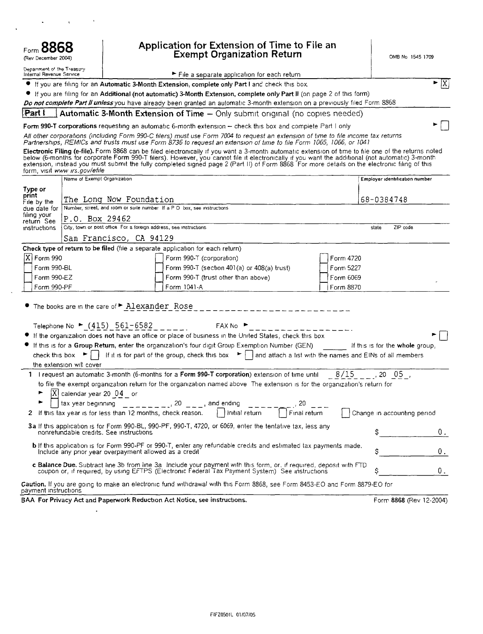| Form 8868<br>(Rev December 2004)                       |                                         |                                                                                                                                                                                                                                                                                                                                                                                        | Application for Extension of Time to File an<br><b>Exempt Organization Return</b>  |                        | OMB No 1545 1709                |                             |
|--------------------------------------------------------|-----------------------------------------|----------------------------------------------------------------------------------------------------------------------------------------------------------------------------------------------------------------------------------------------------------------------------------------------------------------------------------------------------------------------------------------|------------------------------------------------------------------------------------|------------------------|---------------------------------|-----------------------------|
| Department of the Treasury<br>Internal Revenue Service |                                         |                                                                                                                                                                                                                                                                                                                                                                                        | File a separate application for each return                                        |                        |                                 |                             |
|                                                        |                                         | If you are filing for an Automatic 3-Month Extension, complete only Part I and check this box                                                                                                                                                                                                                                                                                          |                                                                                    |                        |                                 | $\blacktriangleright$ $ X $ |
|                                                        |                                         | If you are filing for an Additional (not automatic) 3-Month Extension, complete only Part II (on page 2 of this form)                                                                                                                                                                                                                                                                  |                                                                                    |                        |                                 |                             |
|                                                        |                                         | Do not complete Part II unless you have already been granted an automatic 3-month extension on a previously filed Form 8868                                                                                                                                                                                                                                                            |                                                                                    |                        |                                 |                             |
|                                                        |                                         | <b>Part   Automatic 3-Month Extension of Time –</b> Only submit original (no copies needed)                                                                                                                                                                                                                                                                                            |                                                                                    |                        |                                 |                             |
|                                                        |                                         | Form 990-T corporations requesting an automatic 6-month extension - check this box and complete Part I only                                                                                                                                                                                                                                                                            |                                                                                    |                        |                                 |                             |
|                                                        |                                         | All other corporations (including Form 990-C filers) must use Form 7004 to request an extension of time to file income tax returns<br>Partnerships, REMICs and trusts must use Form 8736 to request an extension of time to file Form 1065, 1066, or 1041                                                                                                                              |                                                                                    |                        |                                 |                             |
|                                                        | form, visit www irs.gov/efile           | Electronic Filing (e-file). Form 8868 can be filed electronically if you want a 3-month automatic extension of time to file one of the returns noted<br>below (6-months for corporate Form 990-T filers). However, you cannot file it electronically if you want the additional (not automatic) 3-month extension, instead you must submit the fully completed signed page 2 (Part II) |                                                                                    |                        |                                 |                             |
|                                                        | Name of Exempt Organization             |                                                                                                                                                                                                                                                                                                                                                                                        |                                                                                    |                        | Employer identification number  |                             |
| Type or<br>print                                       |                                         |                                                                                                                                                                                                                                                                                                                                                                                        |                                                                                    |                        |                                 |                             |
| File by the                                            |                                         | The Long Now Foundation                                                                                                                                                                                                                                                                                                                                                                |                                                                                    |                        | 68-0384748                      |                             |
| due date for<br>filing your                            |                                         | Number, street, and room or suite number If a P O box, see instructions                                                                                                                                                                                                                                                                                                                |                                                                                    |                        |                                 |                             |
| return See                                             | P.O. Box 29462                          | City, town or post office For a foreign address, see instructions                                                                                                                                                                                                                                                                                                                      |                                                                                    |                        | ZIP code<br>state               |                             |
| instructions                                           |                                         |                                                                                                                                                                                                                                                                                                                                                                                        |                                                                                    |                        |                                 |                             |
|                                                        |                                         | San Francisco, CA 94129                                                                                                                                                                                                                                                                                                                                                                |                                                                                    |                        |                                 |                             |
|                                                        |                                         | Check type of return to be filed (file a separate application for each return)                                                                                                                                                                                                                                                                                                         |                                                                                    |                        |                                 |                             |
| $\overline{X}$ Form 990                                |                                         |                                                                                                                                                                                                                                                                                                                                                                                        | Form 990-T (corporation)                                                           | Form 4720              |                                 |                             |
| Form 990-BL<br>Form 990-EZ                             |                                         |                                                                                                                                                                                                                                                                                                                                                                                        | Form 990-T (section 401(a) or 408(a) trust)<br>Form 990-T (trust other than above) | Form 5227<br>Form 6069 |                                 |                             |
| Form 990-PF                                            |                                         | Form 1041-A                                                                                                                                                                                                                                                                                                                                                                            |                                                                                    | Form 8870              |                                 |                             |
|                                                        |                                         |                                                                                                                                                                                                                                                                                                                                                                                        |                                                                                    |                        |                                 |                             |
|                                                        |                                         | The books are in the care of P Alexander Rose                                                                                                                                                                                                                                                                                                                                          |                                                                                    |                        |                                 |                             |
|                                                        |                                         | Telephone No ► $(415)$ 561-6582                                                                                                                                                                                                                                                                                                                                                        | FAX No ▶                                                                           |                        |                                 |                             |
|                                                        |                                         | If the organization does not have an office or place of business in the United States, check this box                                                                                                                                                                                                                                                                                  |                                                                                    |                        |                                 |                             |
|                                                        |                                         | If this is for a Group Return, enter the organization's four digit Group Exemption Number (GEN)                                                                                                                                                                                                                                                                                        |                                                                                    |                        | If this is for the whole group, |                             |
| check this box                                         |                                         | If it is for part of the group, check this box $\blacktriangleright$   and attach a list with the names and EINs of all members                                                                                                                                                                                                                                                        |                                                                                    |                        |                                 |                             |
|                                                        | the extension will cover                |                                                                                                                                                                                                                                                                                                                                                                                        |                                                                                    |                        |                                 |                             |
|                                                        |                                         | 1 I request an automatic 3-month (6-months for a Form 990-T corporation) extension of time until $8/15$ = $\ldots$ , 20 05,                                                                                                                                                                                                                                                            |                                                                                    |                        |                                 |                             |
|                                                        |                                         | to file the exempt organization return for the organization named above The extension is for the organization's return for                                                                                                                                                                                                                                                             |                                                                                    |                        |                                 |                             |
|                                                        | $[X]$ calendar year 20 $0.04$ or        |                                                                                                                                                                                                                                                                                                                                                                                        |                                                                                    |                        |                                 |                             |
|                                                        |                                         |                                                                                                                                                                                                                                                                                                                                                                                        |                                                                                    |                        |                                 |                             |
| 2                                                      |                                         |                                                                                                                                                                                                                                                                                                                                                                                        |                                                                                    |                        | Change in accounting period     |                             |
|                                                        | nonrefundable credits. See instructions | 3a if this application is for Form 990-BL, 990-PF, 990-T, 4720, or 6069, enter the tentative tax, less any                                                                                                                                                                                                                                                                             |                                                                                    |                        |                                 | $0$ .                       |
|                                                        |                                         | <b>b</b> If this application is for Form 990-PF or 990-T, enter any refundable credits and estimated tax payments made.<br>Include any prior year overpayment allowed as a credit                                                                                                                                                                                                      |                                                                                    |                        |                                 | 0.                          |
|                                                        |                                         | c Balance Due. Subtract line 3b from line 3a Include your payment with this form, or, if required, deposit with FTD<br>coupon or, if required, by using EFTPS (Electronic Federal Tax Payment System) See instructions                                                                                                                                                                 |                                                                                    |                        |                                 | 0.                          |
| payment instructions                                   |                                         | Caution, If you are going to make an electronic fund withdrawal with this Form 8868, see Form 8453-EO and Form 8879-EO for                                                                                                                                                                                                                                                             |                                                                                    |                        |                                 |                             |
|                                                        |                                         | BAA For Privacy Act and Paperwork Reduction Act Notice, see instructions.                                                                                                                                                                                                                                                                                                              |                                                                                    |                        | Form 8868 (Rev 12-2004)         |                             |

 $\sim 10$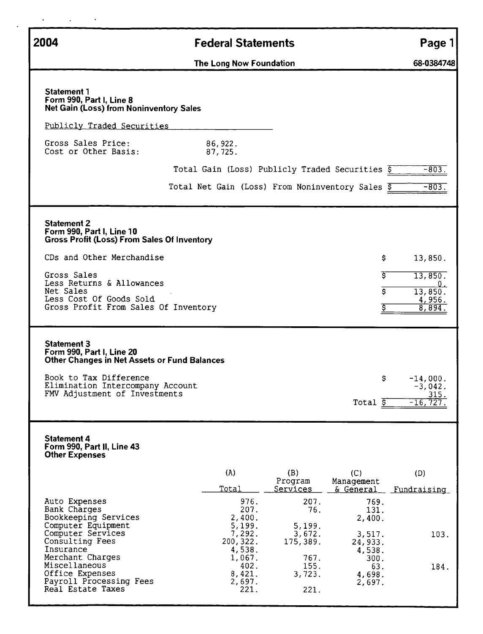| 2004                                                                                                                                                                                                                                     | <b>Federal Statements</b>                                                                                                                                                                                                                                     | Page 1                                                        |
|------------------------------------------------------------------------------------------------------------------------------------------------------------------------------------------------------------------------------------------|---------------------------------------------------------------------------------------------------------------------------------------------------------------------------------------------------------------------------------------------------------------|---------------------------------------------------------------|
|                                                                                                                                                                                                                                          | The Long Now Foundation                                                                                                                                                                                                                                       | 68-0384748                                                    |
| <b>Statement 1</b><br>Form 990, Part I, Line 8<br><b>Net Gain (Loss) from Noninventory Sales</b><br>Publicly Traded Securities                                                                                                           |                                                                                                                                                                                                                                                               |                                                               |
| Gross Sales Price:<br>Cost or Other Basis:                                                                                                                                                                                               | 86, 922.<br>87,725.                                                                                                                                                                                                                                           |                                                               |
|                                                                                                                                                                                                                                          | Total Gain (Loss) Publicly Traded Securities $\overline{s}$                                                                                                                                                                                                   | $-803.$                                                       |
|                                                                                                                                                                                                                                          | Total Net Gain (Loss) From Noninventory Sales \$                                                                                                                                                                                                              | $-803.$                                                       |
|                                                                                                                                                                                                                                          |                                                                                                                                                                                                                                                               |                                                               |
| <b>Statement 2</b><br>Form 990, Part I, Line 10<br><b>Gross Profit (Loss) From Sales Of Inventory</b><br>CDs and Other Merchandise                                                                                                       |                                                                                                                                                                                                                                                               | 13,850.<br>\$.                                                |
| Gross Sales<br>Less Returns & Allowances<br>Net Sales<br>Less Cost Of Goods Sold<br>Gross Profit From Sales Of Inventory                                                                                                                 |                                                                                                                                                                                                                                                               | इ<br>13,850.<br><u>0.</u><br>Ś<br>13,850.<br>4,956.<br>8,894. |
| <b>Statement 3</b><br>Form 990, Part I, Line 20<br><b>Other Changes in Net Assets or Fund Balances</b><br>Book to Tax Difference<br>Elimination Intercompany Account<br>FMV Adjustment of Investments                                    | Total \$                                                                                                                                                                                                                                                      | \$.<br>$-14,000.$<br>-3,042.<br>315.<br>$-16, 727$            |
| <b>Statement 4</b><br>Form 990, Part II, Line 43<br><b>Other Expenses</b>                                                                                                                                                                |                                                                                                                                                                                                                                                               |                                                               |
|                                                                                                                                                                                                                                          | (A)<br>(B)<br>(C)<br>Program<br>Management<br><u>Total</u><br><u>Services</u><br>& General                                                                                                                                                                    | (D)<br>Fundraising                                            |
| Auto Expenses<br>Bank Charges<br>Bookkeeping Services<br>Computer Equipment<br>Computer Services<br>Consulting Fees<br>Insurance<br>Merchant Charges<br>Miscellaneous<br>Office Expenses<br>Payroll Processing Fees<br>Real Estate Taxes | 976.<br>207.<br>207.<br>76.<br>2,400.<br>2,400.<br>5,199.<br>5,199.<br>7,292.<br>3,517.<br>3,672.<br>200, 322.<br>175,389.<br>24,933.<br>4,538.<br>4,538.<br>767.<br>1,067.<br>155.<br>402.<br>8,421.<br>3,723.<br>4,698.<br>2,697.<br>2,697.<br>221.<br>221. | 769.<br>131.<br>103.<br>300.<br>63.<br>184.                   |

 $\bullet$ 

 $\ddot{\phantom{a}}$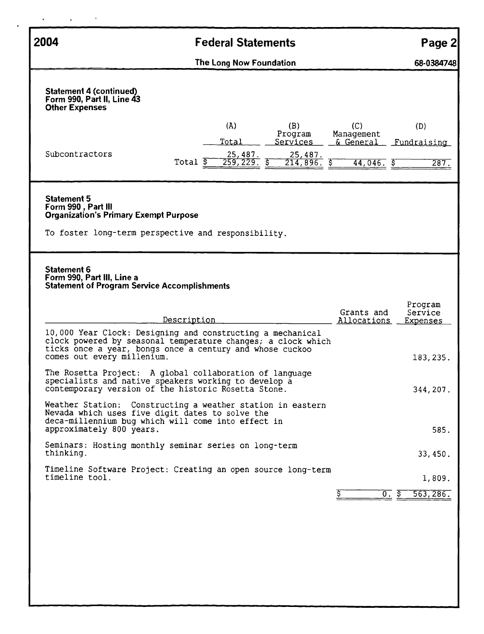| 2004<br><b>Federal Statements</b>                                                                                                                                      |                                                                                                                                                                                        |                                                                                          |  |  |  |  |  |
|------------------------------------------------------------------------------------------------------------------------------------------------------------------------|----------------------------------------------------------------------------------------------------------------------------------------------------------------------------------------|------------------------------------------------------------------------------------------|--|--|--|--|--|
|                                                                                                                                                                        | The Long Now Foundation                                                                                                                                                                | 68-0384748                                                                               |  |  |  |  |  |
| <b>Statement 4 (continued)</b><br>Form 990, Part II, Line 43<br><b>Other Expenses</b>                                                                                  |                                                                                                                                                                                        |                                                                                          |  |  |  |  |  |
| Subcontractors                                                                                                                                                         | (A)<br>(B)<br>Program<br>Total<br>Services<br>25,487.<br>25,487.<br>Total $\overline{S}$<br>259, 229.5<br>$214,896.$ \$                                                                | (C)<br>(D)<br>Management<br>& General<br>Fundraising<br>$44,046.$ $\overline{5}$<br>287. |  |  |  |  |  |
| <b>Statement 5</b><br>Form 990, Part III<br><b>Organization's Primary Exempt Purpose</b><br>To foster long-term perspective and responsibility.                        |                                                                                                                                                                                        |                                                                                          |  |  |  |  |  |
| Statement 6<br>Form 990, Part III, Line a<br><b>Statement of Program Service Accomplishments</b>                                                                       |                                                                                                                                                                                        |                                                                                          |  |  |  |  |  |
|                                                                                                                                                                        | Description                                                                                                                                                                            | Program<br>Grants and<br>Service<br>Allocations<br>Expenses                              |  |  |  |  |  |
| comes out every millenium.                                                                                                                                             | 10,000 Year Clock: Designing and constructing a mechanical<br>clock powered by seasonal temperature changes; a clock which<br>ticks once a year, bongs once a century and whose cuckoo | 183, 235.                                                                                |  |  |  |  |  |
| The Rosetta Project: A global collaboration of language<br>specialists and native speakers working to develop a<br>contemporary version of the historic Rosetta Stone. | 344, 207.                                                                                                                                                                              |                                                                                          |  |  |  |  |  |
| Nevada which uses five digit dates to solve the<br>approximately 800 years.                                                                                            | Weather Station: Constructing a weather station in eastern<br>deca-millennium bug which will come into effect in                                                                       | 585.                                                                                     |  |  |  |  |  |
| thinking.                                                                                                                                                              | Seminars: Hosting monthly seminar series on long-term                                                                                                                                  | 33,450.                                                                                  |  |  |  |  |  |
| timeline tool.                                                                                                                                                         | Timeline Software Project: Creating an open source long-term                                                                                                                           | 1,809.                                                                                   |  |  |  |  |  |
|                                                                                                                                                                        |                                                                                                                                                                                        | 0. s<br>563,286.                                                                         |  |  |  |  |  |
|                                                                                                                                                                        |                                                                                                                                                                                        |                                                                                          |  |  |  |  |  |
|                                                                                                                                                                        |                                                                                                                                                                                        |                                                                                          |  |  |  |  |  |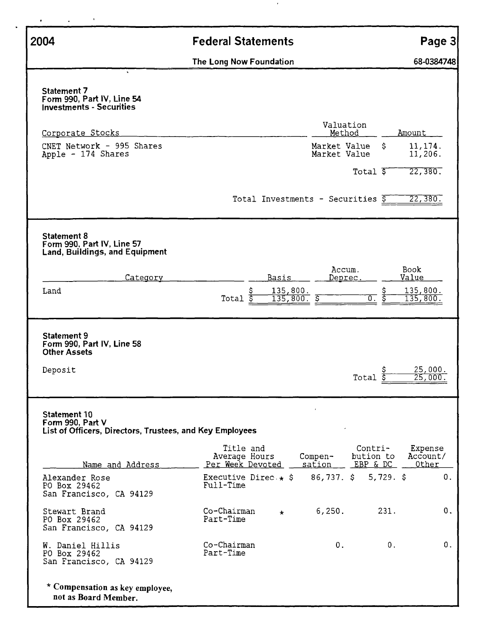| 2004                                                                                         | <b>Federal Statements</b>                                             | Page 3                                                           |  |
|----------------------------------------------------------------------------------------------|-----------------------------------------------------------------------|------------------------------------------------------------------|--|
|                                                                                              | The Long Now Foundation                                               | 68-0384748                                                       |  |
| Statement 7<br>Form 990, Part IV, Line 54<br><b>Investments - Securities</b>                 |                                                                       |                                                                  |  |
| Corporate Stocks                                                                             | Valuation<br>Method                                                   | Amount                                                           |  |
| CNET Network - 995 Shares<br>Apple - 174 Shares                                              | Market Value<br>Market Value                                          | S.<br>11, 174.<br>11,206.                                        |  |
|                                                                                              | Total 5<br>Total Investments - Securities $\overline{S}$              | 22,380.<br>22, 380.                                              |  |
| Statement 8<br>Form 990, Part IV, Line 57                                                    |                                                                       |                                                                  |  |
| Land, Buildings, and Equipment<br>Category                                                   | Accum.<br><b>Basis</b><br>Deprec.                                     | Book<br>Value                                                    |  |
| Land                                                                                         | 135,800.<br>Total $\overline{\xi}$<br>135,800.<br>Š                   | 135,800.<br>Ŝ<br>$\overline{0}$ .<br>135,800.                    |  |
| Statement 9<br>Form 990, Part IV, Line 58<br><b>Other Assets</b>                             |                                                                       |                                                                  |  |
| Deposit                                                                                      | $\begin{array}{c}\n 5 \\ \text{Total} \\ \underline{5}\n \end{array}$ | 25,000.<br>25,000.                                               |  |
| Statement 10<br>Form 990, Part V<br>List of Officers, Directors, Trustees, and Key Employees |                                                                       |                                                                  |  |
| Name and Address                                                                             | Title and<br>Average Hours<br>$Compen-$<br>Per Week Devoted<br>sation | Contri-<br>Expense<br>bution to<br>Account/<br>EBP & DC<br>Other |  |
| Alexander Rose<br>PO Box 29462<br>San Francisco, CA 94129                                    | $86,737.$ \$<br>Executive Direc. $\star$ \$<br>Full-Time              | 0.<br>$5,729.$ \$                                                |  |
| Stewart Brand<br>PO Box 29462<br>San Francisco, CA 94129                                     | Co-Chairman<br>6,250.<br>$\star$<br>Part-Time                         | 231.<br>0.                                                       |  |
| W. Daniel Hillis<br>PO Box 29462<br>San Francisco, CA 94129                                  | Co-Chairman<br>0.<br>Part-Time                                        | 0.<br>0.                                                         |  |
| * Compensation as key employee,<br>not as Board Member.                                      |                                                                       |                                                                  |  |